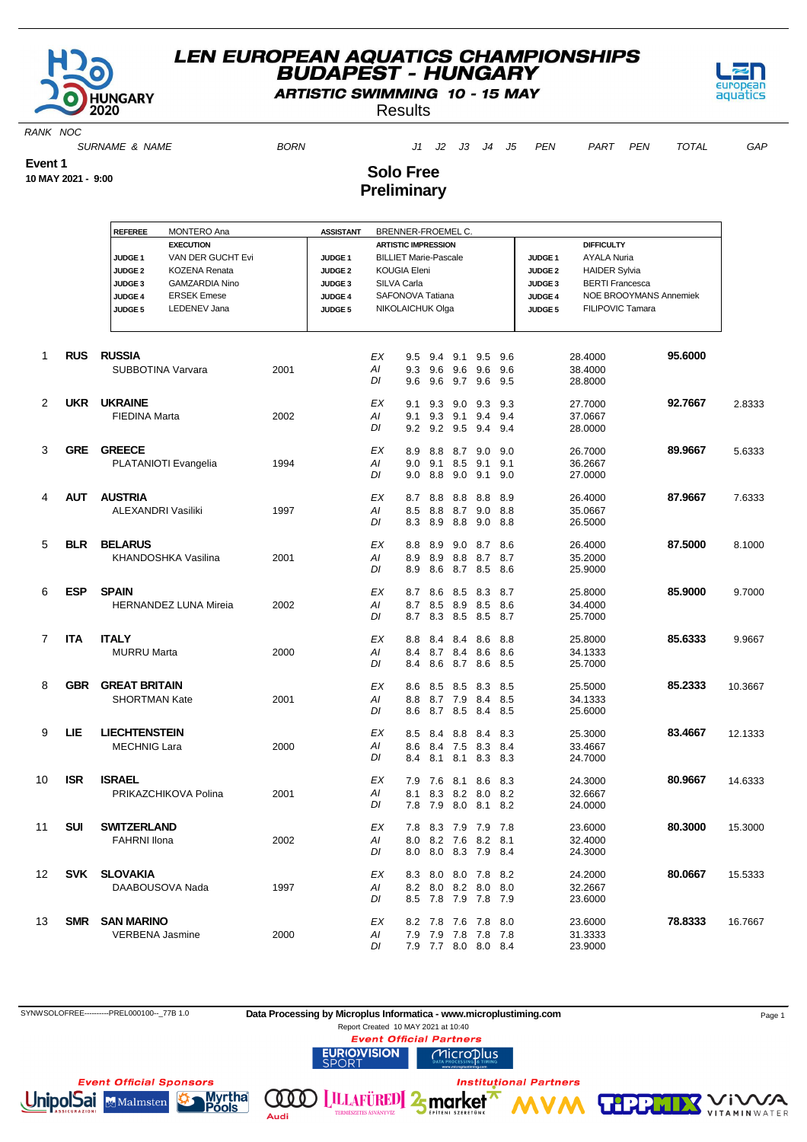

**ARTISTIC SWIMMING 10 - 15 MAY** 

**Results** 



RANK NOC

SURNAME & NAME 6 BORN BORN 31 J2 J3 J4 J5 PEN PART PEN TOTAL GAP

**Event 1**

**10 MAY 2021 - 9:00**

#### **Solo Free Preliminary**

|                |            | <b>REFEREE</b><br><b>MONTERO Ana</b>                                                                                                                                                                             |      | <b>ASSISTANT</b>                                                      | BRENNER-FROEMEL C.                                                                                                                       |                       |                   |                       |                                                                   |                   |                                                                                     |                                                                                                                                  |         |         |
|----------------|------------|------------------------------------------------------------------------------------------------------------------------------------------------------------------------------------------------------------------|------|-----------------------------------------------------------------------|------------------------------------------------------------------------------------------------------------------------------------------|-----------------------|-------------------|-----------------------|-------------------------------------------------------------------|-------------------|-------------------------------------------------------------------------------------|----------------------------------------------------------------------------------------------------------------------------------|---------|---------|
|                |            | <b>EXECUTION</b><br>VAN DER GUCHT Evi<br>JUDGE <sub>1</sub><br><b>JUDGE 2</b><br><b>KOZENA Renata</b><br>JUDGE 3<br><b>GAMZARDIA Nino</b><br><b>ERSEK Emese</b><br>JUDGE 4<br>JUDGE <sub>5</sub><br>LEDENEV Jana |      | JUDGE <sub>1</sub><br><b>JUDGE 2</b><br>JUDGE 3<br>JUDGE 4<br>JUDGE 5 | <b>ARTISTIC IMPRESSION</b><br><b>BILLIET Marie-Pascale</b><br><b>KOUGIA Eleni</b><br>SILVA Carla<br>SAFONOVA Tatiana<br>NIKOLAICHUK Olga |                       |                   |                       |                                                                   |                   | JUDGE <sub>1</sub><br><b>JUDGE 2</b><br>JUDGE 3<br><b>JUDGE 4</b><br><b>JUDGE 5</b> | <b>DIFFICULTY</b><br>AYALA Nuria<br><b>HAIDER Sylvia</b><br><b>BERTI Francesca</b><br>NOE BROOYMANS Annemiek<br>FILIPOVIC Tamara |         |         |
| 1              | <b>RUS</b> | <b>RUSSIA</b><br>SUBBOTINA Varvara                                                                                                                                                                               | 2001 |                                                                       | ЕX<br>Al<br>DI                                                                                                                           | 9.5<br>9.3<br>9.6     | 9.4<br>9.6<br>9.6 | 9.1 9.5<br>9.6<br>9.7 | 9.6<br>9.6 9.5                                                    | 9.6<br>9.6        |                                                                                     | 28.4000<br>38.4000<br>28.8000                                                                                                    | 95.6000 |         |
| 2              | <b>UKR</b> | <b>UKRAINE</b><br><b>FIEDINA Marta</b>                                                                                                                                                                           | 2002 |                                                                       | ЕX<br>Al<br>DI                                                                                                                           | 9.1<br>9.1<br>9.2     | 9.3<br>9.3<br>9.2 | 9.0<br>9.1<br>9.5     | 9.3<br>9.4<br>9.4                                                 | 9.3<br>9.4<br>9.4 |                                                                                     | 27.7000<br>37.0667<br>28.0000                                                                                                    | 92.7667 | 2.8333  |
| 3              | <b>GRE</b> | <b>GREECE</b><br>PLATANIOTI Evangelia                                                                                                                                                                            | 1994 |                                                                       | EX<br>Al<br>DI                                                                                                                           | 8.9<br>9.0<br>9.0     | 8.8<br>9.1<br>8.8 | 8.7<br>8.5<br>9.0     | 9.0<br>9.1<br>9.1                                                 | 9.0<br>9.1<br>9.0 |                                                                                     | 26.7000<br>36.2667<br>27.0000                                                                                                    | 89.9667 | 5.6333  |
| 4              | <b>AUT</b> | <b>AUSTRIA</b><br><b>ALEXANDRI Vasiliki</b>                                                                                                                                                                      | 1997 |                                                                       | ЕX<br>Al<br>DI                                                                                                                           | 8.7<br>8.5<br>8.3     | 8.8<br>8.8<br>8.9 | 8.8<br>8.7<br>8.8     | 8.8<br>9.0<br>9.0                                                 | 8.9<br>8.8<br>8.8 |                                                                                     | 26.4000<br>35.0667<br>26.5000                                                                                                    | 87.9667 | 7.6333  |
| 5              | <b>BLR</b> | <b>BELARUS</b><br>KHANDOSHKA Vasilina                                                                                                                                                                            | 2001 |                                                                       | ЕX<br>AI<br>DI                                                                                                                           | 8.8<br>8.9<br>8.9     | 8.9<br>8.9<br>8.6 | 8.8<br>8.7            | $9.0$ 8.7 8.6<br>8.7<br>8.5 8.6                                   | 8.7               |                                                                                     | 26.4000<br>35.2000<br>25.9000                                                                                                    | 87.5000 | 8.1000  |
| 6              | <b>ESP</b> | <b>SPAIN</b><br><b>HERNANDEZ LUNA Mireia</b>                                                                                                                                                                     | 2002 |                                                                       | ЕX<br>Al<br>DI                                                                                                                           | 8.7 8.6<br>8.7<br>8.7 | 8.5<br>8.3        | 8.9                   | 8.5 8.3 8.7<br>8.5<br>8.5 8.5 8.7                                 | 8.6               |                                                                                     | 25.8000<br>34.4000<br>25.7000                                                                                                    | 85.9000 | 9.7000  |
| $\overline{7}$ | <b>ITA</b> | <b>ITALY</b><br><b>MURRU Marta</b>                                                                                                                                                                               | 2000 |                                                                       | ЕX<br>Al<br>DI                                                                                                                           | 8.8<br>8.4<br>8.4     | 8.4<br>8.7<br>8.6 | 8.4<br>8.7            | 8.4 8.6 8.8<br>8.6<br>8.6                                         | 8.6<br>8.5        |                                                                                     | 25.8000<br>34.1333<br>25.7000                                                                                                    | 85.6333 | 9.9667  |
| 8              | <b>GBR</b> | <b>GREAT BRITAIN</b><br><b>SHORTMAN Kate</b>                                                                                                                                                                     | 2001 |                                                                       | ЕX<br>Al<br>DI                                                                                                                           | 8.6<br>8.8<br>8.6     | 8.5<br>8.7        | 8.5<br>8.5            | 8.3<br>8.7 7.9 8.4 8.5<br>8.4                                     | 8.5<br>8.5        |                                                                                     | 25.5000<br>34.1333<br>25.6000                                                                                                    | 85.2333 | 10.3667 |
| 9              | LIE        | <b>LIECHTENSTEIN</b><br><b>MECHNIG Lara</b>                                                                                                                                                                      | 2000 |                                                                       | ЕX<br>AI<br>DI                                                                                                                           | 8.5<br>8.6<br>8.4     | 8.4<br>8.4<br>8.1 | 8.8<br>7.5<br>8.1     | 8.4<br>8.3 8.4<br>8.3                                             | 8.3<br>8.3        |                                                                                     | 25.3000<br>33.4667<br>24.7000                                                                                                    | 83.4667 | 12.1333 |
| 10             | <b>ISR</b> | <b>ISRAEL</b><br>PRIKAZCHIKOVA Polina                                                                                                                                                                            | 2001 |                                                                       | ЕX<br>Al<br>DI                                                                                                                           | 79 76<br>8.1<br>7.8   | 8.3<br>7.9        |                       | 8.1 8.6 8.3<br>8.2 8.0<br>8.0 8.1 8.2                             | 8.2               |                                                                                     | 24.3000<br>32.6667<br>24.0000                                                                                                    | 80.9667 | 14.6333 |
| 11             | <b>SUI</b> | <b>SWITZERLAND</b><br><b>FAHRNI Ilona</b>                                                                                                                                                                        | 2002 |                                                                       | ЕX<br>ΑI<br>DI                                                                                                                           |                       |                   |                       | 7.8 8.3 7.9 7.9 7.8<br>8.0 8.2 7.6 8.2 8.1<br>8.0 8.0 8.3 7.9 8.4 |                   |                                                                                     | 23.6000<br>32.4000<br>24.3000                                                                                                    | 80.3000 | 15.3000 |
| 12             |            | SVK SLOVAKIA<br>DAABOUSOVA Nada                                                                                                                                                                                  | 1997 |                                                                       | ЕX<br>ΑI<br>DI                                                                                                                           |                       |                   |                       | 8.3 8.0 8.0 7.8 8.2<br>8.2 8.0 8.2 8.0 8.0<br>8.5 7.8 7.9 7.8 7.9 |                   |                                                                                     | 24.2000<br>32.2667<br>23.6000                                                                                                    | 80.0667 | 15.5333 |
| 13             | SMR        | <b>SAN MARINO</b><br><b>VERBENA Jasmine</b>                                                                                                                                                                      | 2000 |                                                                       | ЕX<br>ΑI<br>DI                                                                                                                           | 8.2 7.8 7.6 7.8       |                   |                       | 7.9 7.9 7.8 7.8 7.8<br>7.9 7.7 8.0 8.0 8.4                        | 8.0               |                                                                                     | 23.6000<br>31.3333<br>23.9000                                                                                                    | 78.8333 | 16.7667 |

 SYNWSOLOFREE----------PREL000100--\_77B 1.0 **Data Processing by Microplus Informatica - www.microplustiming.com** Page 1 Report Created 10 MAY 2021 at 10:40

**Event Official Partners** 

Microplus

**M** 

**RIOVISION** 

Audi



**Institutional Partners**  $\omega$ **LILLAFÜRED** 2 market

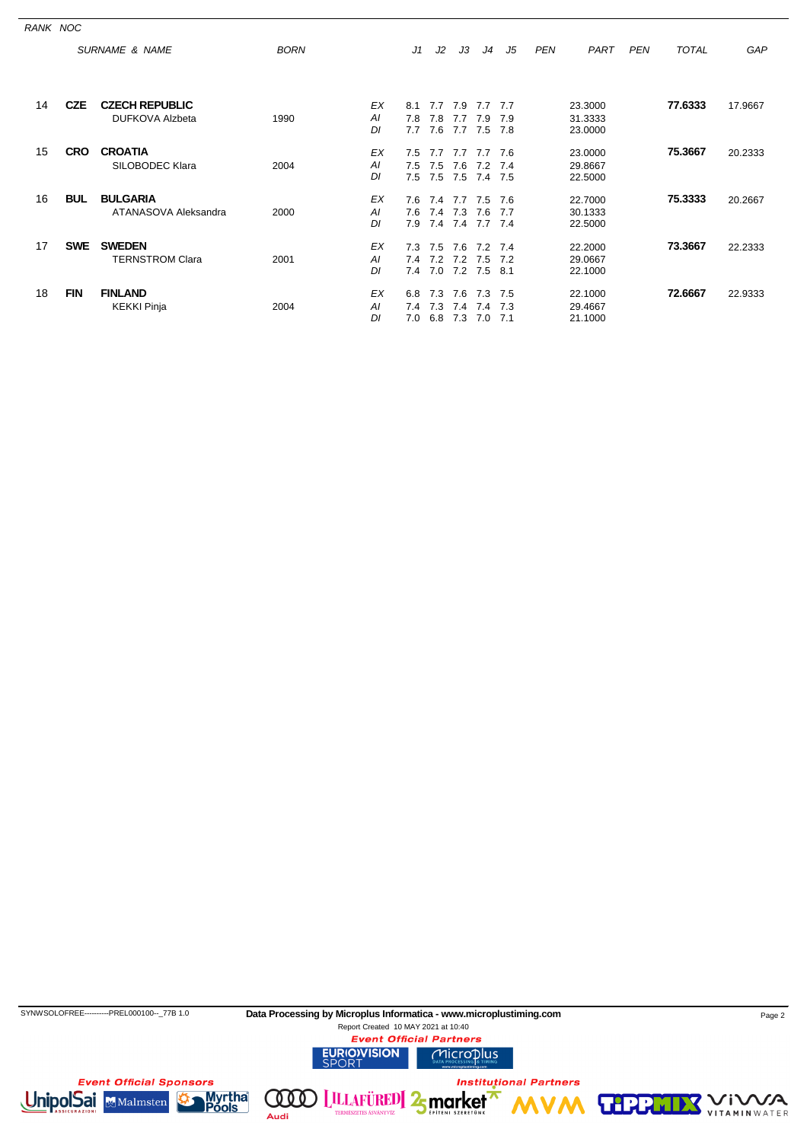| RANK NOC |            |                                         |             |                |                   |                   |                   |                           |                   |            |                               |     |              |         |
|----------|------------|-----------------------------------------|-------------|----------------|-------------------|-------------------|-------------------|---------------------------|-------------------|------------|-------------------------------|-----|--------------|---------|
|          |            | <b>SURNAME &amp; NAME</b>               | <b>BORN</b> |                | J1                | J2                | JЗ                | J4                        | J5                | <b>PEN</b> | PART                          | PEN | <b>TOTAL</b> | GAP     |
| 14       | <b>CZE</b> | <b>CZECH REPUBLIC</b>                   |             | EX             | 8.1               | 7.7               | 7.9               | 7.7                       | 7.7               |            | 23.3000                       |     | 77.6333      | 17.9667 |
|          |            | <b>DUFKOVA Alzbeta</b>                  | 1990        | Al<br>DI       | 7.8<br>7.7        | 7.8<br>7.6        | 7.7<br>7.7        | 7.9<br>7.5                | 7.9<br>7.8        |            | 31.3333<br>23.0000            |     |              |         |
| 15       | <b>CRO</b> | <b>CROATIA</b><br>SILOBODEC Klara       | 2004        | EX<br>Al<br>DI | 7.5<br>7.5<br>7.5 | 7.7<br>7.5<br>7.5 | 7.7<br>7.6<br>7.5 | 7.7 7.6<br>7.2<br>7.4 7.5 | 7.4               |            | 23.0000<br>29.8667<br>22.5000 |     | 75.3667      | 20.2333 |
| 16       | <b>BUL</b> | <b>BULGARIA</b><br>ATANASOVA Aleksandra | 2000        | EX<br>ΑI<br>DI | 7.6<br>7.6<br>7.9 | 7.4<br>7.4<br>7.4 | 7.3<br>7.4        | 7.7 7.5<br>7.6<br>7.7 7.4 | - 7.6<br>7.7      |            | 22.7000<br>30.1333<br>22.5000 |     | 75.3333      | 20.2667 |
| 17       | <b>SWE</b> | <b>SWEDEN</b><br><b>TERNSTROM Clara</b> | 2001        | EX<br>ΑI<br>DI | 7.3<br>7.4<br>7.4 | 7.5<br>72<br>7.0  | 7.6<br>7.2<br>7.2 | 7.2<br>7.5<br>7.5         | 74<br>7.2<br>8.1  |            | 22.2000<br>29.0667<br>22.1000 |     | 73.3667      | 22.2333 |
| 18       | <b>FIN</b> | <b>FINLAND</b><br><b>KEKKI Pinja</b>    | 2004        | EX<br>Al<br>DI | 6.8<br>7.4<br>7.0 | 7.3<br>7.3<br>6.8 | 7.6<br>7.4<br>7.3 | 7.3<br>7.4<br>7.0         | 7.5<br>7.3<br>7.1 |            | 22.1000<br>29.4667<br>21.1000 |     | 72.6667      | 22.9333 |

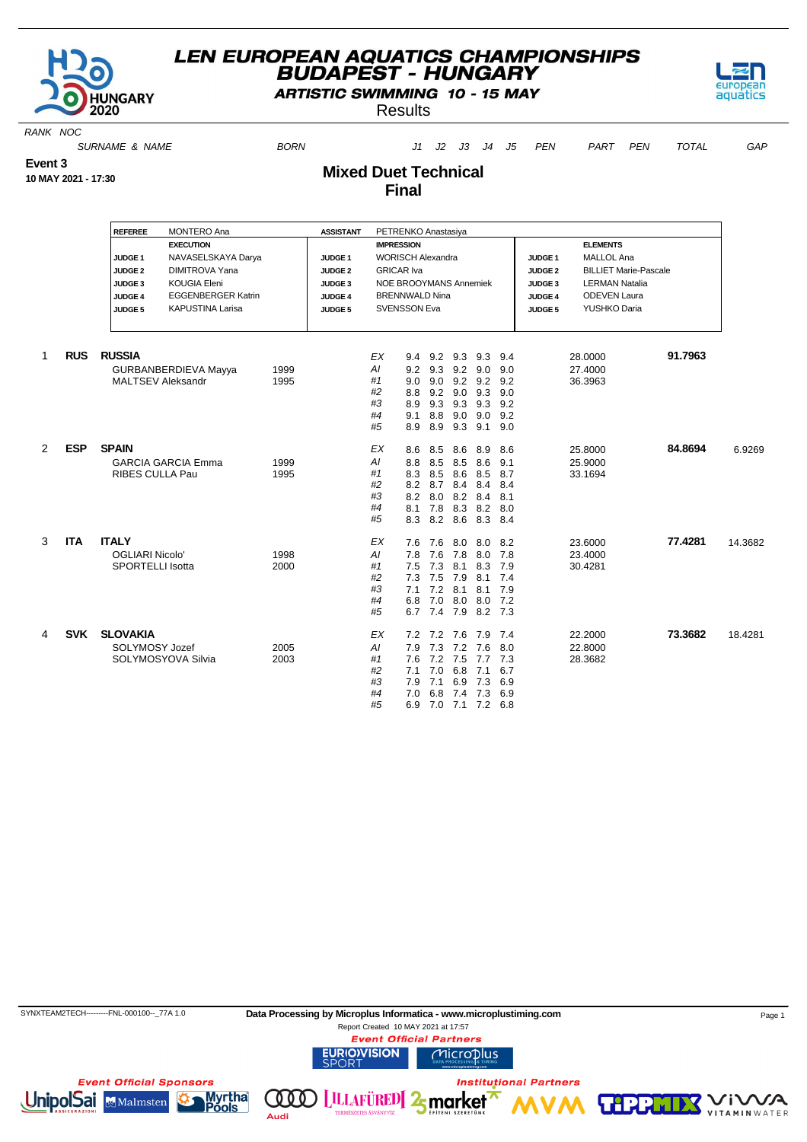

**ARTISTIC SWIMMING 10 - 15 MAY** 

**Results** 



RANK NOC

SURNAME & NAME 6 BORN BORN J1 J2 J3 J4 J5 PEN PART PEN TOTAL GAP

**Event 3**

**10 MAY 2021 - 17:30**

#### **Mixed Duet Technical Final**

|   |            | <b>MONTERO Ana</b><br><b>REFEREE</b><br><b>EXECUTION</b><br>NAVASELSKAYA Darya<br><b>JUDGE1</b><br><b>DIMITROVA Yana</b><br><b>JUDGE 2</b><br><b>KOUGIA Eleni</b><br><b>JUDGE 3</b><br><b>EGGENBERGER Katrin</b><br><b>JUDGE 4</b><br><b>KAPUSTINA Larisa</b><br><b>JUDGE 5</b> |              | <b>ASSISTANT</b><br><b>JUDGE 1</b><br><b>JUDGE 2</b><br><b>JUDGE 3</b><br><b>JUDGE 4</b><br>JUDGE 5 | <b>IMPRESSION</b><br><b>GRICAR</b> Iva | PETRENKO Anastasiya<br><b>WORISCH Alexandra</b><br>NOE BROOYMANS Annemiek<br><b>BRENNWALD Nina</b><br><b>SVENSSON Eva</b> |                                                                |                                                        |                                                                                           | <b>JUDGE1</b><br><b>JUDGE 2</b><br>JUDGE <sub>3</sub><br><b>JUDGE 4</b><br>JUDGE <sub>5</sub> | <b>ELEMENTS</b><br>MALLOL Ana<br><b>BILLIET Marie-Pascale</b><br><b>LERMAN Natalia</b><br><b>ODEVEN Laura</b><br>YUSHKO Daria |         |         |
|---|------------|---------------------------------------------------------------------------------------------------------------------------------------------------------------------------------------------------------------------------------------------------------------------------------|--------------|-----------------------------------------------------------------------------------------------------|----------------------------------------|---------------------------------------------------------------------------------------------------------------------------|----------------------------------------------------------------|--------------------------------------------------------|-------------------------------------------------------------------------------------------|-----------------------------------------------------------------------------------------------|-------------------------------------------------------------------------------------------------------------------------------|---------|---------|
| 1 | <b>RUS</b> | <b>RUSSIA</b><br>GURBANBERDIEVA Mayya<br><b>MALTSEV Aleksandr</b>                                                                                                                                                                                                               | 1999<br>1995 |                                                                                                     | EX<br>AI<br>#1<br>#2<br>#3<br>#4<br>#5 | 9.4<br>9.2 9.3<br>9.0<br>8.8<br>8.9<br>9.1<br>8.9                                                                         | 9.2 9.3<br>9.0<br>9.2<br>9.3<br>8.8<br>8.9                     | $9.2$ $9.0$<br>9.2<br>9.0<br>9.3<br>9.0<br>$9.3$ $9.1$ | 9.3<br>9.4<br>9.0<br>$9.2$ $9.2$<br>9.3<br>9.0<br>9.3<br>9.2<br>$9.0$ $9.2$<br>9.0        |                                                                                               | 28.0000<br>27.4000<br>36.3963                                                                                                 | 91.7963 |         |
| 2 | <b>ESP</b> | <b>SPAIN</b><br><b>GARCIA GARCIA Emma</b><br>RIBES CULLA Pau                                                                                                                                                                                                                    | 1999<br>1995 |                                                                                                     | EX<br>AI<br>#1<br>#2<br>#3<br>#4<br>#5 | 8.6<br>8.8<br>8.3<br>8.2<br>8.2<br>8.1<br>8.3                                                                             | 8.5<br>8.5<br>8.5<br>8.7<br>8.0<br>7.8<br>8.2                  | 8.6<br>8.5<br>8.6<br>8.4<br>8.3<br>8.6                 | 8.9<br>8.6<br>8.6<br>9.1<br>8.5<br>8.7<br>8.4 8.4<br>8.2 8.4 8.1<br>8.2 8.0<br>8.3<br>8.4 |                                                                                               | 25.8000<br>25.9000<br>33.1694                                                                                                 | 84.8694 | 6.9269  |
| 3 | <b>ITA</b> | <b>ITALY</b><br><b>OGLIARI Nicolo'</b><br><b>SPORTELLI Isotta</b>                                                                                                                                                                                                               | 1998<br>2000 |                                                                                                     | EX<br>Al<br>#1<br>#2<br>#3<br>#4<br>#5 | 7.6<br>7.8<br>7.5<br>7.3<br>7.1<br>6.8<br>6.7                                                                             | 7.6<br>7.6<br>7.3<br>7.5<br>$7.2$ 8.1<br>7.0<br>7.4            | 8.0<br>7.8<br>8.1<br>7.9<br>8.0<br>7.9                 | 8.0 8.2<br>8.0<br>7.8<br>8.3<br>7.9<br>8.1 7.4<br>8.1 7.9<br>8.0 7.2<br>8.2 7.3           |                                                                                               | 23.6000<br>23.4000<br>30.4281                                                                                                 | 77.4281 | 14.3682 |
| 4 | <b>SVK</b> | <b>SLOVAKIA</b><br>SOLYMOSY Jozef<br>SOLYMOSYOVA Silvia                                                                                                                                                                                                                         | 2005<br>2003 |                                                                                                     | EX<br>Al<br>#1<br>#2<br>#3<br>#4<br>#5 | 7.9<br>7.6<br>7.1<br>7.9<br>7.0<br>6.9                                                                                    | 7.3 7.2 7.6<br>7.2 7.5 7.7<br>7.0<br>7.1<br>6.8<br>7.0 7.1 7.2 | 6.8<br>6.9<br>7.4                                      | 7.2 7.2 7.6 7.9 7.4<br>8.0<br>7.3<br>7.1<br>6.7<br>7.3<br>6.9<br>7.3<br>6.9<br>6.8        |                                                                                               | 22.2000<br>22.8000<br>28.3682                                                                                                 | 73.3682 | 18.4281 |

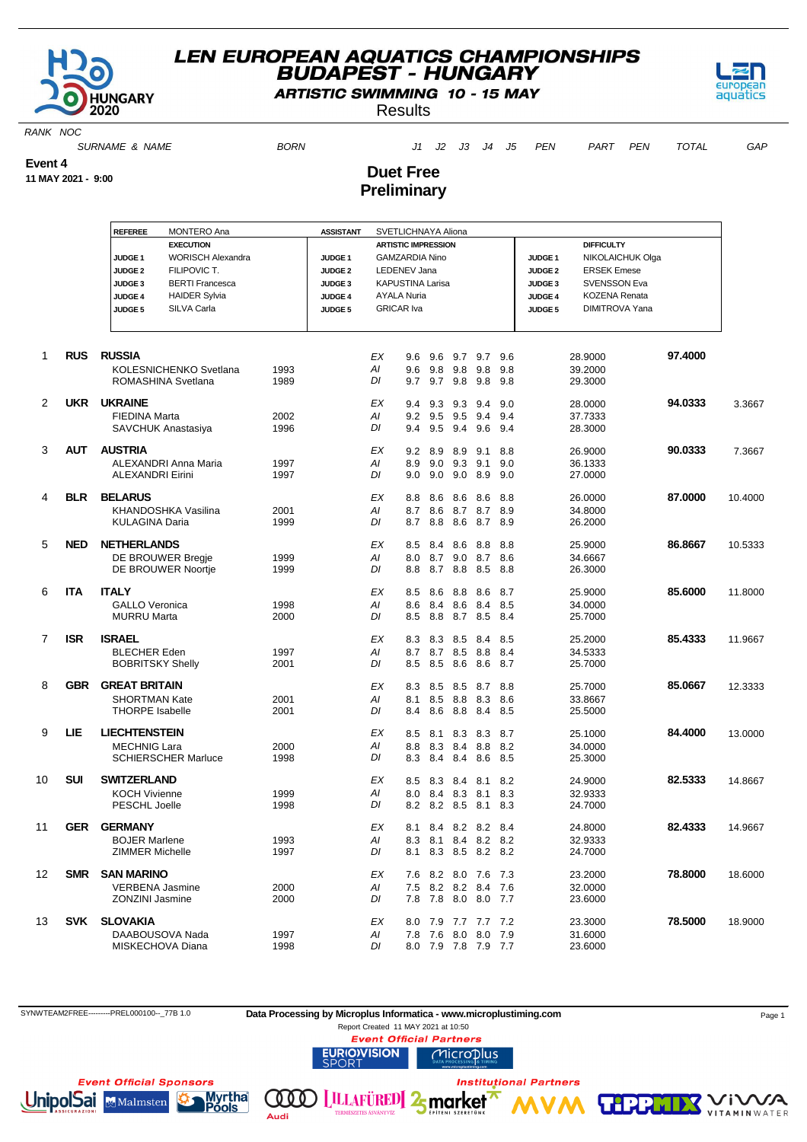

**ARTISTIC SWIMMING 10 - 15 MAY** 

**Results** 



RANK NOC

SURNAME & NAME 6 BORN BORN 31 J2 J3 J4 J5 PEN PART PEN TOTAL GAP

**Event 4**

**11 MAY 2021 - 9:00**

#### **Duet Free Preliminary**

|    |            | <b>REFEREE</b>          | <b>MONTERO Ana</b>            |      | <b>ASSISTANT</b>   | SVETLICHNAYA Aliona        |     |         |     |                     |      |                    |                       |         |         |
|----|------------|-------------------------|-------------------------------|------|--------------------|----------------------------|-----|---------|-----|---------------------|------|--------------------|-----------------------|---------|---------|
|    |            |                         | <b>EXECUTION</b>              |      |                    | <b>ARTISTIC IMPRESSION</b> |     |         |     |                     |      |                    | <b>DIFFICULTY</b>     |         |         |
|    |            | JUDGE <sub>1</sub>      | <b>WORISCH Alexandra</b>      |      | JUDGE <sub>1</sub> | GAMZARDIA Nino             |     |         |     |                     |      | JUDGE <sub>1</sub> | NIKOLAICHUK Olga      |         |         |
|    |            | <b>JUDGE 2</b>          | FILIPOVIC T.                  |      | JUDGE <sub>2</sub> | LEDENEV Jana               |     |         |     |                     |      | JUDGE <sub>2</sub> | <b>ERSEK Emese</b>    |         |         |
|    |            | JUDGE <sub>3</sub>      | <b>BERTI Francesca</b>        |      | JUDGE <sub>3</sub> | <b>KAPUSTINA Larisa</b>    |     |         |     |                     |      | JUDGE <sub>3</sub> | <b>SVENSSON Eva</b>   |         |         |
|    |            | JUDGE 4                 | <b>HAIDER Sylvia</b>          |      | JUDGE 4            | <b>AYALA Nuria</b>         |     |         |     |                     |      | JUDGE 4            | <b>KOZENA Renata</b>  |         |         |
|    |            | JUDGE <sub>5</sub>      | SILVA Carla                   |      | JUDGE 5            | <b>GRICAR Iva</b>          |     |         |     |                     |      | JUDGE 5            | <b>DIMITROVA Yana</b> |         |         |
|    |            |                         |                               |      |                    |                            |     |         |     |                     |      |                    |                       |         |         |
|    |            |                         |                               |      |                    |                            |     |         |     |                     |      |                    |                       |         |         |
| 1  | <b>RUS</b> | <b>RUSSIA</b>           |                               |      |                    | ЕX                         | 9.6 | 9.6     |     | 9.7 9.7             | 9.6  |                    | 28.9000               | 97.4000 |         |
|    |            |                         | <b>KOLESNICHENKO Svetlana</b> | 1993 |                    | Al                         | 9.6 | 9.8     | 9.8 | 9.8                 | 9.8  |                    | 39.2000               |         |         |
|    |            |                         | ROMASHINA Svetlana            | 1989 |                    | DI                         | 9.7 | 9.7     |     | 9.8 9.8             | 9.8  |                    | 29.3000               |         |         |
| 2  | <b>UKR</b> | <b>UKRAINE</b>          |                               |      |                    | EX                         | 9.4 | 9.3     | 9.3 | 9.4                 | 9.0  |                    | 28.0000               | 94.0333 | 3.3667  |
|    |            | <b>FIEDINA Marta</b>    |                               | 2002 |                    | Al                         | 9.2 | 9.5     | 9.5 | 9.4                 | 9.4  |                    | 37.7333               |         |         |
|    |            |                         | SAVCHUK Anastasiya            | 1996 |                    | DI                         | 9.4 | 9.5     | 9.4 | 9.6                 | 9.4  |                    | 28.3000               |         |         |
| 3  | <b>AUT</b> | <b>AUSTRIA</b>          |                               |      |                    | ЕX                         | 9.2 | 8.9     | 8.9 | 9.1                 | 8.8  |                    | 26.9000               | 90.0333 | 7.3667  |
|    |            |                         | ALEXANDRI Anna Maria          | 1997 |                    | Al                         | 8.9 | 9.0     | 9.3 | 9.1                 | 9.0  |                    | 36.1333               |         |         |
|    |            | <b>ALEXANDRI Eirini</b> |                               | 1997 |                    | DI                         | 9.0 | 9.0     | 9.0 | 8.9                 | 9.0  |                    | 27.0000               |         |         |
| 4  | <b>BLR</b> | <b>BELARUS</b>          |                               |      |                    | ЕX                         | 8.8 | 8.6     | 8.6 | 8.6                 | 8.8  |                    | 26.0000               | 87.0000 | 10.4000 |
|    |            |                         | KHANDOSHKA Vasilina           | 2001 |                    | Al                         | 8.7 | 8.6     | 8.7 | 8.7                 | 8.9  |                    | 34.8000               |         |         |
|    |            | <b>KULAGINA Daria</b>   |                               | 1999 |                    | DI                         | 8.7 | 8.8     | 8.6 | 8.7 8.9             |      |                    | 26.2000               |         |         |
| 5  | <b>NED</b> | <b>NETHERLANDS</b>      |                               |      |                    | ЕX                         | 8.5 | 8.4     | 8.6 | 8.8                 | 8.8  |                    | 25.9000               | 86.8667 | 10.5333 |
|    |            |                         | DE BROUWER Bregje             | 1999 |                    | ΑI                         | 8.0 | 8.7     | 9.0 | 8.7                 | 8.6  |                    | 34.6667               |         |         |
|    |            |                         | DE BROUWER Noortje            | 1999 |                    | DI                         | 8.8 | 8.7     | 8.8 | 8.5                 | 8.8  |                    | 26.3000               |         |         |
| 6  | <b>ITA</b> | <b>ITALY</b>            |                               |      |                    | ЕX                         | 8.5 | 8.6     | 8.8 | 8.6                 | -8.7 |                    | 25.9000               | 85.6000 | 11.8000 |
|    |            | <b>GALLO Veronica</b>   |                               | 1998 |                    | Al                         | 8.6 | 8.4     | 8.6 | 8.4                 | 8.5  |                    | 34.0000               |         |         |
|    |            | <b>MURRU Marta</b>      |                               | 2000 |                    | DI                         | 8.5 | 8.8     |     | 8.7 8.5             | -8.4 |                    | 25.7000               |         |         |
| 7  | <b>ISR</b> | <b>ISRAEL</b>           |                               |      |                    | EX                         | 8.3 | 8.3     | 8.5 | 8.4                 | 8.5  |                    | 25.2000               | 85.4333 | 11.9667 |
|    |            | <b>BLECHER Eden</b>     |                               | 1997 |                    | Al                         | 8.7 | 8.7     | 8.5 | 8.8                 | 8.4  |                    | 34.5333               |         |         |
|    |            | <b>BOBRITSKY Shelly</b> |                               | 2001 |                    | DI                         | 8.5 | 8.5     | 8.6 | 8.6                 | 8.7  |                    | 25.7000               |         |         |
| 8  | <b>GBR</b> | <b>GREAT BRITAIN</b>    |                               |      |                    | ЕX                         | 8.3 | 8.5     | 8.5 | 8.7                 | 8.8  |                    | 25.7000               | 85.0667 | 12.3333 |
|    |            | <b>SHORTMAN Kate</b>    |                               | 2001 |                    | Al                         | 8.1 | 8.5     |     | 8.8 8.3 8.6         |      |                    | 33.8667               |         |         |
|    |            | <b>THORPE Isabelle</b>  |                               | 2001 |                    | DI                         | 8.4 | 8.6     | 8.8 | 8.4                 | 8.5  |                    | 25.5000               |         |         |
| 9  | LIE        | <b>LIECHTENSTEIN</b>    |                               |      |                    | ЕX                         | 8.5 | 8.1     | 8.3 | 8.3                 | 8.7  |                    | 25.1000               | 84.4000 | 13.0000 |
|    |            | <b>MECHNIG Lara</b>     |                               | 2000 |                    | AI                         | 8.8 | 8.3     | 8.4 | 8.8                 | 8.2  |                    | 34.0000               |         |         |
|    |            |                         | <b>SCHIERSCHER Marluce</b>    | 1998 |                    | DI                         | 8.3 | 8.4     | 8.4 | 8.6                 | 8.5  |                    | 25.3000               |         |         |
| 10 | <b>SUI</b> | <b>SWITZERLAND</b>      |                               |      |                    | ЕX                         | 8.5 | 8.3     | 8.4 | 8.1                 | 8.2  |                    | 24.9000               | 82.5333 | 14.8667 |
|    |            | <b>KOCH Vivienne</b>    |                               | 1999 |                    | ΑI                         | 8.0 | 8.4     | 8.3 | 8.1                 | 8.3  |                    | 32.9333               |         |         |
|    |            | <b>PESCHL Joelle</b>    |                               | 1998 |                    | DI                         | 8.2 | 8.2 8.5 |     | 8.1                 | 8.3  |                    | 24.7000               |         |         |
| 11 | <b>GER</b> | <b>GERMANY</b>          |                               |      |                    | ЕX                         | 8.1 |         |     | 8.4 8.2 8.2 8.4     |      |                    | 24.8000               | 82.4333 | 14.9667 |
|    |            | <b>BOJER Marlene</b>    |                               | 1993 |                    | ΑI                         |     |         |     | 8.3 8.1 8.4 8.2 8.2 |      |                    | 32.9333               |         |         |
|    |            | <b>ZIMMER Michelle</b>  |                               | 1997 |                    | DI                         | 8.1 |         |     | 8.3 8.5 8.2 8.2     |      |                    | 24.7000               |         |         |
| 12 |            | <b>SMR SAN MARINO</b>   |                               |      |                    | ЕX                         |     |         |     | 7.6 8.2 8.0 7.6 7.3 |      |                    | 23.2000               | 78.8000 | 18.6000 |
|    |            | <b>VERBENA Jasmine</b>  |                               | 2000 |                    | ΑI                         |     |         |     | 7.5 8.2 8.2 8.4 7.6 |      |                    | 32.0000               |         |         |
|    |            | <b>ZONZINI Jasmine</b>  |                               | 2000 |                    | DI                         | 7.8 | 7.8     |     | 8.0 8.0 7.7         |      |                    | 23.6000               |         |         |
| 13 |            | SVK SLOVAKIA            |                               |      |                    | ЕX                         |     | 8.0 7.9 |     | 7.7 7.7 7.2         |      |                    | 23.3000               | 78.5000 | 18.9000 |
|    |            |                         | DAABOUSOVA Nada               | 1997 |                    | Al                         |     | 7.8 7.6 |     | 8.0 8.0 7.9         |      |                    | 31.6000               |         |         |
|    |            |                         | MISKECHOVA Diana              | 1998 |                    | DI                         |     |         |     | 8.0 7.9 7.8 7.9 7.7 |      |                    | 23.6000               |         |         |

SYNWTEAM2FREE---------PREL000100--\_77B 1.0 **Data Processing by Microplus Informatica - www.microplustiming.com** Page 1

**LILLAFÜRED** 2 market

Report Created 11 MAY 2021 at 10:50**Event Official Partners** Microplus

**URIO)VISION** 

 $\omega$ 

Audi



**VM** THPP

**Institutional Partners** 

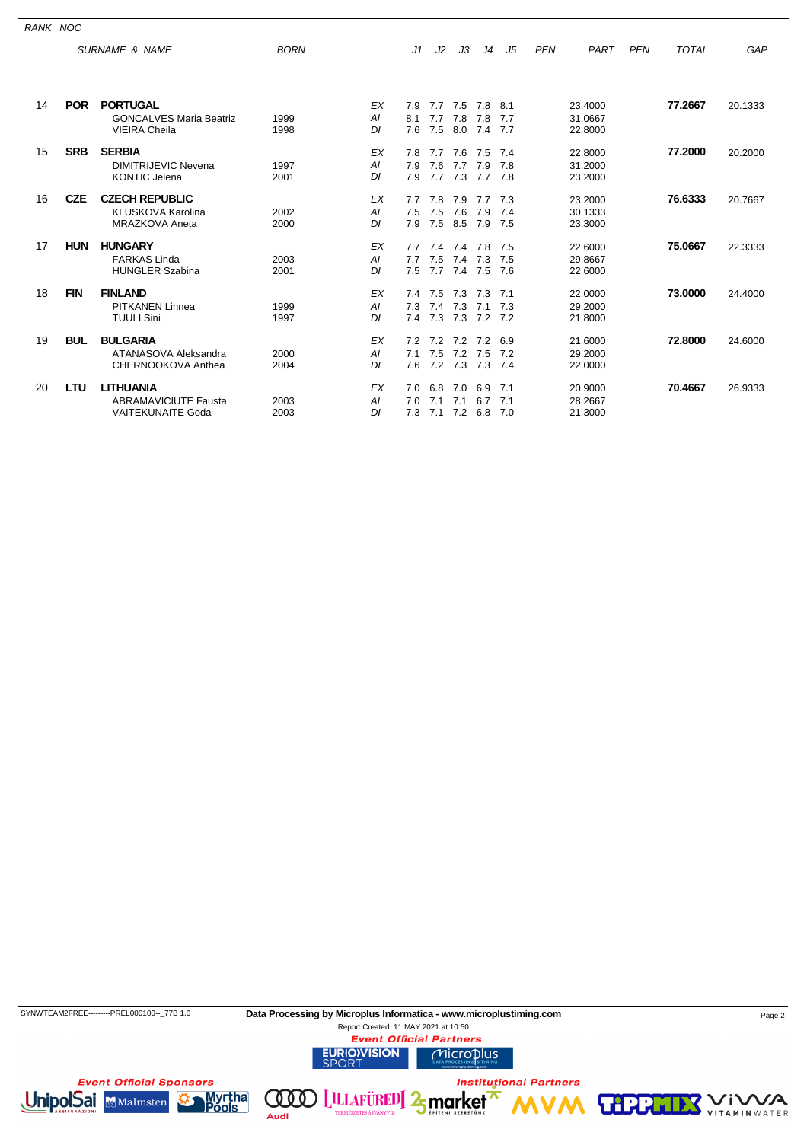| RANK NOC |            |                                                                             |              |                |                   |                   |                           |                               |                   |            |                               |            |              |         |
|----------|------------|-----------------------------------------------------------------------------|--------------|----------------|-------------------|-------------------|---------------------------|-------------------------------|-------------------|------------|-------------------------------|------------|--------------|---------|
|          |            | SURNAME & NAME                                                              | <b>BORN</b>  |                | J1                | J2                | J3                        | J4                            | J5                | <b>PEN</b> | PART                          | <b>PEN</b> | <b>TOTAL</b> | GAP     |
| 14       | <b>POR</b> | <b>PORTUGAL</b><br><b>GONCALVES Maria Beatriz</b>                           | 1999         | EX<br>Al       | 7.9<br>8.1        | 7.7<br>7.7        | 7.5<br>7.8                | 7.8<br>7.8                    | 8.1<br>7.7        |            | 23.4000<br>31.0667            |            | 77.2667      | 20.1333 |
|          |            | <b>VIEIRA Cheila</b>                                                        | 1998         | DI             | 7.6               | 7.5               | 8.0                       | 7.4                           | 7.7               |            | 22.8000                       |            |              |         |
| 15       | <b>SRB</b> | <b>SERBIA</b><br><b>DIMITRIJEVIC Nevena</b><br><b>KONTIC Jelena</b>         | 1997<br>2001 | EX<br>Al<br>DI | 7.8<br>7.9<br>7.9 | 7.7<br>7.6<br>7.7 | 7.6<br>7.7<br>7.3         | 7.5<br>7.9<br>7.7             | 7.4<br>7.8<br>7.8 |            | 22.8000<br>31.2000<br>23.2000 |            | 77.2000      | 20.2000 |
| 16       | <b>CZE</b> | <b>CZECH REPUBLIC</b><br><b>KLUSKOVA Karolina</b><br><b>MRAZKOVA Aneta</b>  | 2002<br>2000 | EX<br>ΑI<br>DI | 7.7<br>7.5<br>7.9 | 7.8<br>7.5<br>7.5 | 7.9<br>7.6<br>8.5         | 7.7<br>7.9<br>7.9             | 7.3<br>7.4<br>7.5 |            | 23.2000<br>30.1333<br>23.3000 |            | 76.6333      | 20.7667 |
| 17       | <b>HUN</b> | <b>HUNGARY</b><br><b>FARKAS Linda</b><br><b>HUNGLER Szabina</b>             | 2003<br>2001 | EX<br>Al<br>DI | 7.7<br>7.7<br>7.5 | 7.4<br>7.5        | 7.4<br>7.4<br>7.7 7.4 7.5 | 7.8<br>7.3                    | 7.5<br>7.5<br>7.6 |            | 22.6000<br>29.8667<br>22.6000 |            | 75,0667      | 22.3333 |
| 18       | <b>FIN</b> | <b>FINLAND</b><br><b>PITKANEN Linnea</b><br><b>TUULI Sini</b>               | 1999<br>1997 | EX<br>Al<br>DI | 7.4<br>7.3<br>7.4 | 7.5<br>7.4<br>7.3 | 7.3<br>7.3                | 7.3<br>7.1<br>7.3 7.2 7.2     | 7.1<br>7.3        |            | 22.0000<br>29.2000<br>21.8000 |            | 73.0000      | 24.4000 |
| 19       | <b>BUL</b> | <b>BULGARIA</b><br>ATANASOVA Aleksandra<br>CHERNOOKOVA Anthea               | 2000<br>2004 | EX<br>Al<br>DI | 7.2<br>7.1<br>7.6 | 7.2<br>7.5        | 7.2<br>7.2                | 7.2<br>7.5<br>7.2 7.3 7.3 7.4 | 6.9<br>7.2        |            | 21.6000<br>29.2000<br>22.0000 |            | 72,8000      | 24.6000 |
| 20       | <b>LTU</b> | <b>LITHUANIA</b><br><b>ABRAMAVICIUTE Fausta</b><br><b>VAITEKUNAITE Goda</b> | 2003<br>2003 | EX<br>Al<br>DI | 7.0<br>7.0<br>7.3 | 6.8<br>7.1<br>7.1 | 7.0<br>7.1<br>7.2         | 6.9<br>6.7<br>6.8             | 7.1<br>7.1<br>7.0 |            | 20.9000<br>28.2667<br>21.3000 |            | 70.4667      | 26.9333 |

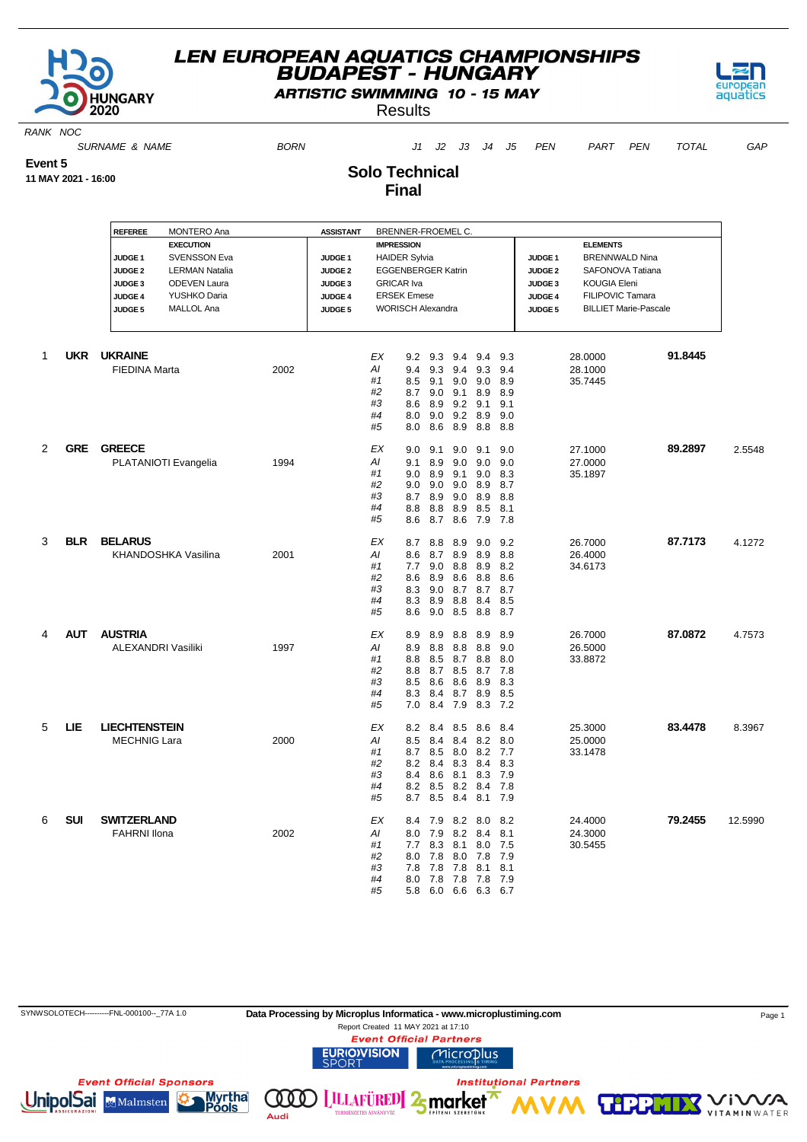



**ARTISTIC SWIMMING 10 - 15 MAY** 

**Results** 

**Solo Technical Final**

#### RANK NOC

SURNAME & NAME BORN J1 J2 J3 J4 J5 PEN PART PEN TOTAL GAP

**Event 5**

**11 MAY 2021 - 16:00**

**REFEREE** MONTERO Ana **ASSISTANT** BRENNER-FROEMEL C **EXECUTION IMPRESSION ELEMENTS JUDGE 1** SVENSSON Eva **JUDGE 1 JUDGE 1** HAIDER Sylvia **JUDGE 1** BRENNWALD Nina **JUDGE 2** LERMAN Natalia **JUDGE 2** EGGENBERGER Katrin **JUDGE 2** SAFONOVA Tatiana **JUDGE 3** ODEVEN Laura **JUDGE 3** GRICAR Iva **JUDGE 3** KOUGIA Eleni **JUDGE 4** YUSHKO Daria **JUDGE 4** ERSEK Emese **JUDGE 4** FILIPOVIC Tamara **JUDGE 5** MALLOL Ana **JUDGE 5** WORISCH Alexandra **JUDGE 5** BILLIET Marie-Pascale 1 **UKR UKRAINE** EX 9.2 9.3 9.4 9.4 9.3 28.0000 **91.8445** FIEDINA Marta 2002 Al 9.4 9.3 9.4 9.3 9.4 9.3 9.4 9.3 9.4 PM #1 8.5 9.1 9.0 9.0 8.9 35.7445  $#2$  8.7 9.0 9.1 8.9<br> $#3$  8.6 8.9 9.2 9.1 8.6 8.9 9.2 9.1 9.1<br>8.0 9.0 9.2 8.9 9.0 #4 8.0 9.0 9.2 8.9 9.0  $8.0$ 2 **GRE GREECE** EX 9.0 9.1 9.0 9.1 9.0 27.1000 **89.2897** 2.5548 PLATANIOTI Evangelia 1994 AI 9.1 8.9 9.0 9.0 9.0 27.0000<br>  $\frac{41}{41}$  9.0 8.9 9.1 9.0 8.3 35.1897 #1 9.0 8.9 9.1 9.0 8.3 35.1897 #2 9.0 9.0 9.0 8.9 8.7 87 89 90 89 88 #4 8.8 8.8 8.9 8.5 8.1 #5 8.6 8.7 8.6 7.9 7.8 3 **BLR BELARUS** EX 8.7 8.8 8.9 9.0 9.2 26.7000 **87.7173** 4.1272 KHANDOSHKA Vasilina 2001 AI 8.6 8.7 8.9 8.9 8.8 26.4000 #1 7.7 9.0 8.8 8.9 8.2 34.6173  $\frac{4}{142}$  8.6 8.9 8.6 8.8 8.6<br> $\frac{4}{143}$  8.3 9.0 8.7 8.7 8.7 #3 8.3 9.0 8.7 8.7 8.7 #4 8.3 8.9 8.8 8.4 8.5  $9.0$ 4 **AUT AUSTRIA** EX 8.9 8.9 8.8 8.9 8.9 26.7000 **87.0872** 4.7573 ALEXANDRI Vasiliki 1997 AN 8.9 8.8 8.8 9.0 26.5000<br>
#1 8.8 8.5 8.7 8.8 8.0 33.8872 #1 8.8 8.5 8.7 8.8 8.0 33.8872 #2 8.8 8.7 8.5 8.7 7.8 #3 8.5 8.6 8.6 8.9 8.3 #4 8.3 8.4 8.7 8.9 8.5 7.0 8.4 7.9 8.3 5 **LIE LIECHTENSTEIN** EX 8.2 8.4 8.5 8.6 8.4 25.3000 **83.4478** 8.3967 MECHNIG Lara 2000 AI 8.5 8.4 8.4 8.2 8.0 25.0000 #1 8.7 8.5 8.0 8.2 7.7 33.1478 #2 8.2 8.4 8.3 8.4 8.3 #3 8.4 8.6 8.1 8.3 7.9 #4 8.2 8.5 8.2 8.4 7.8 #5 8.7 8.5 8.4 8.1 7.9 6 **SUI SWITZERLAND** EX 8.4 7.9 8.2 8.0 8.2 24.4000 **79.2455** 12.5990 FAHRNI Ilona 2002 AI 8.0 7.9 8.2 8.4 8.1 24.3000 #1 7.7 8.3 8.1 8.0 7.5 30.5455 #2 8.0 7.8 8.0 7.8 7.9 7.8 8.1<br>7.8 7.8 #4 8.0 7.8 7.8 7.8 7.9 5.8 6.0 6.6 6.3



 $(000)$ 





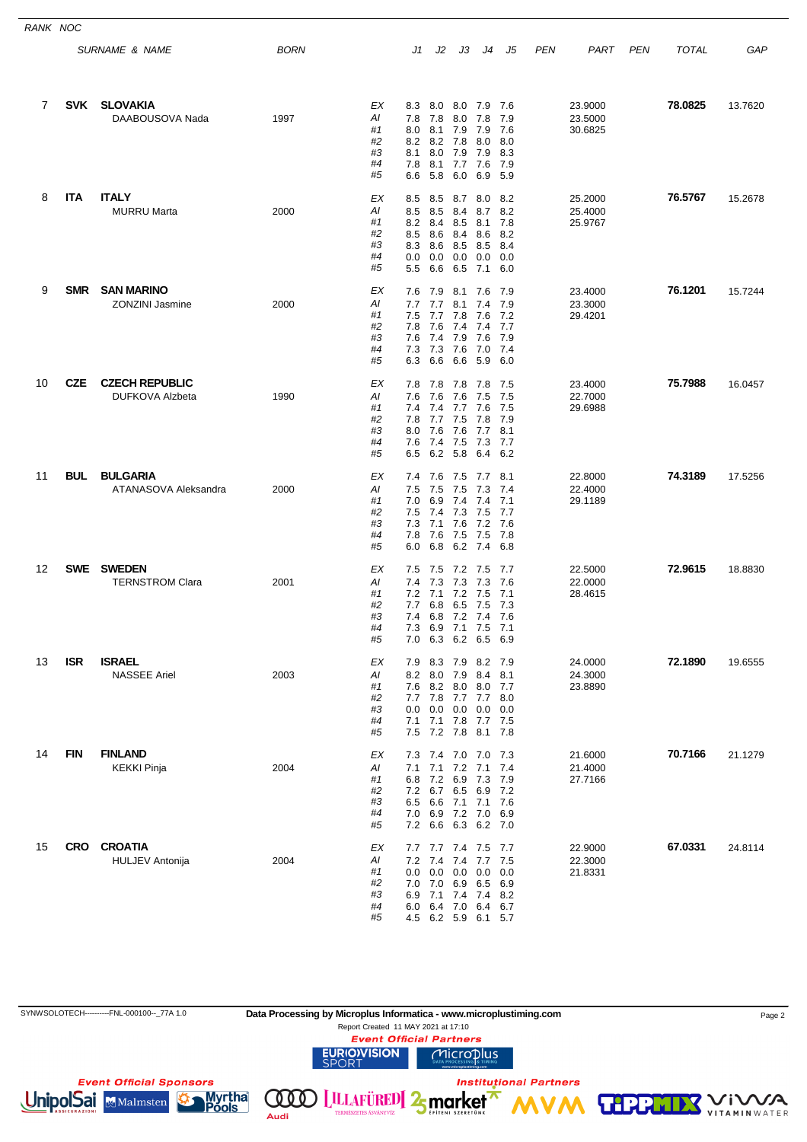| RANK NOC |            |                                                 |             |                                        |                                               |                                               |                                                                                                                  |                                                       |                                                  |     |                               |     |              |         |
|----------|------------|-------------------------------------------------|-------------|----------------------------------------|-----------------------------------------------|-----------------------------------------------|------------------------------------------------------------------------------------------------------------------|-------------------------------------------------------|--------------------------------------------------|-----|-------------------------------|-----|--------------|---------|
|          |            | <b>SURNAME &amp; NAME</b>                       | <b>BORN</b> |                                        | J1                                            | J2                                            | JЗ                                                                                                               | J4                                                    | J5                                               | PEN | PART                          | PEN | <b>TOTAL</b> | GAP     |
| 7        | <b>SVK</b> | <b>SLOVAKIA</b><br>DAABOUSOVA Nada              | 1997        | ЕX<br>Al<br>#1<br>#2<br>#3<br>#4<br>#5 | 8.3<br>7.8<br>8.0<br>8.2<br>8.1<br>7.8<br>6.6 | 8.0<br>7.8<br>8.1<br>8.2<br>8.0<br>8.1<br>5.8 | 8.0 7.9<br>8.0<br>7.9<br>7.8<br>7.9<br>7.7<br>6.0                                                                | 7.8<br>7.9<br>8.0<br>7.9<br>7.6<br>6.9                | - 7.6<br>7.9<br>7.6<br>8.0<br>8.3<br>7.9<br>5.9  |     | 23.9000<br>23.5000<br>30.6825 |     | 78.0825      | 13.7620 |
| 8        | ITA        | <b>ITALY</b><br><b>MURRU Marta</b>              | 2000        | ЕX<br>Al<br>#1<br>#2<br>#3<br>#4<br>#5 | 8.5<br>8.5<br>8.2<br>8.5<br>8.3<br>0.0<br>5.5 | 8.5<br>8.5<br>8.4<br>8.6<br>8.6<br>0.0<br>6.6 | 8.7<br>8.4<br>8.5<br>8.4<br>8.5<br>0.0<br>6.5                                                                    | 8.0<br>8.7<br>8.1<br>8.6<br>8.5<br>0.0<br>7.1         | 8.2<br>8.2<br>7.8<br>8.2<br>8.4<br>0.0<br>6.0    |     | 25.2000<br>25.4000<br>25.9767 |     | 76.5767      | 15.2678 |
| 9        | <b>SMR</b> | <b>SAN MARINO</b><br>ZONZINI Jasmine            | 2000        | ЕX<br>Al<br>#1<br>#2<br>#3<br>#4<br>#5 | 7.6<br>7.7<br>7.5<br>7.8<br>7.6<br>7.3<br>6.3 | 7.9<br>7.7<br>7.7<br>7.6<br>7.4<br>7.3<br>6.6 | 8.1<br>8.1<br>7.8<br>7.4<br>7.9<br>7.6<br>6.6                                                                    | 7.6<br>7.4<br>7.6<br>7.4 7.7<br>7.6<br>7.0<br>5.9     | - 7.9<br>7.9<br>7.2<br>7.9<br>-7.4<br>6.0        |     | 23.4000<br>23.3000<br>29.4201 |     | 76.1201      | 15.7244 |
| 10       | <b>CZE</b> | <b>CZECH REPUBLIC</b><br><b>DUFKOVA Alzbeta</b> | 1990        | ЕX<br>Al<br>#1<br>#2<br>#3<br>#4<br>#5 | 7.8<br>7.6<br>7.4<br>7.8<br>8.0<br>7.6<br>6.5 | 7.8<br>7.6<br>7.4<br>7.7<br>7.6<br>7.4<br>6.2 | 7.8<br>7.6<br>7.7<br>7.5<br>7.6<br>7.5<br>5.8                                                                    | 7.8<br>7.5<br>7.6<br>7.8<br>7.7<br>7.3<br>6.4         | -7.5<br>7.5<br>- 7.5<br>7.9<br>8.1<br>7.7<br>6.2 |     | 23.4000<br>22.7000<br>29.6988 |     | 75.7988      | 16.0457 |
| 11       | <b>BUL</b> | <b>BULGARIA</b><br>ATANASOVA Aleksandra         | 2000        | ЕX<br>Al<br>#1<br>#2<br>#3<br>#4<br>#5 | 7.4<br>7.5<br>7.0<br>7.5<br>7.3<br>7.8<br>6.0 | 7.6<br>7.5<br>6.9<br>7.4<br>7.1<br>7.6<br>6.8 | 7.5<br>7.5<br>7.4<br>7.3<br>7.6<br>7.5                                                                           | 7.7<br>7.3<br>7.4<br>7.5<br>7.2<br>7.5<br>6.2 7.4 6.8 | 8.1<br>7.4<br>7.1<br>7.7<br>7.6<br>7.8           |     | 22.8000<br>22.4000<br>29.1189 |     | 74.3189      | 17.5256 |
| 12       | <b>SWE</b> | <b>SWEDEN</b><br><b>TERNSTROM Clara</b>         | 2001        | ЕX<br>Al<br>#1<br>#2<br>#3<br>#4<br>#5 | 7.5<br>7.4<br>7.2<br>7.7                      | 7.5<br>7.3<br>7.1<br>6.8                      | 7.2 7.5<br>7.3<br>7.2<br>6.5<br>7.4 6.8 7.2 7.4 7.6<br>7.3 6.9 7.1 7.5 7.1<br>7.0 6.3 6.2 6.5 6.9                | 7.3<br>7.5<br>7.5                                     | -7.7<br>7.6<br>7.1<br>7.3                        |     | 22.5000<br>22.0000<br>28.4615 |     | 72.9615      | 18.8830 |
| 13       | <b>ISR</b> | <b>ISRAEL</b><br><b>NASSEE Ariel</b>            | 2003        | ЕX<br>ΑI<br>#1<br>#2<br>#3<br>#4<br>#5 | 7.9<br>7.6<br>0.0                             | 8.2 8.0 7.9<br>8.2 8.0                        | 8.3 7.9<br>7.7 7.8 7.7 7.7<br>$0.0 \quad 0.0 \quad 0.0$<br>7.1 7.1 7.8 7.7 7.5<br>7.5 7.2 7.8 8.1 7.8            | 8.2<br>8.4<br>8.0                                     | - 7.9<br>8.1<br>7.7<br>8.0<br>0.0                |     | 24.0000<br>24.3000<br>23.8890 |     | 72.1890      | 19.6555 |
| 14       | <b>FIN</b> | <b>FINLAND</b><br><b>KEKKI Pinja</b>            | 2004        | ЕX<br>ΑI<br>#1<br>#2<br>#3<br>#4<br>#5 | 7.1<br>6.8<br>7.2                             | 7.1<br>7.2<br>7.2 6.7                         | 7.3 7.4 7.0 7.0 7.3<br>$7.2$ $7.1$<br>6.9<br>6.5 6.9<br>65 66 71 71 76<br>7.0 6.9 7.2 7.0 6.9<br>6.6 6.3 6.2 7.0 | 7.3                                                   | 7.4<br>- 7.9<br>7.2                              |     | 21.6000<br>21.4000<br>27.7166 |     | 70.7166      | 21.1279 |
| 15       | <b>CRO</b> | <b>CROATIA</b><br><b>HULJEV Antonija</b>        | 2004        | ЕX<br>ΑI<br>#1<br>#2<br>#3<br>#4<br>#5 | 7.2<br>0.0<br>6.0                             | 7.4<br>0.0<br>7.0 7.0<br>6.4 7.0              | 7.7 7.7 7.4 7.5<br>7.4<br>0.0<br>6.9<br>6.9 7.1 7.4 7.4 8.2<br>4.5 6.2 5.9 6.1 5.7                               | 7.7<br>0.0<br>6.5<br>6.4                              | - 7.7<br>7.5<br>0.0<br>6.9<br>6.7                |     | 22.9000<br>22.3000<br>21.8331 |     | 67.0331      | 24.8114 |

 SYNWSOLOTECH----------FNL-000100--\_77A 1.0 **Data Processing by Microplus Informatica - www.microplustiming.com** Page 2 Report Created 11 MAY 2021 at 17:10<br>**Event Official Partners**  $\underset{\text{data Processing} \left[ \text{min} \right]}{\text{Microsoft}}$ 

Audi



**COOO LILLAFÜREDI 25 market \*** 

**Institutional Partners** 



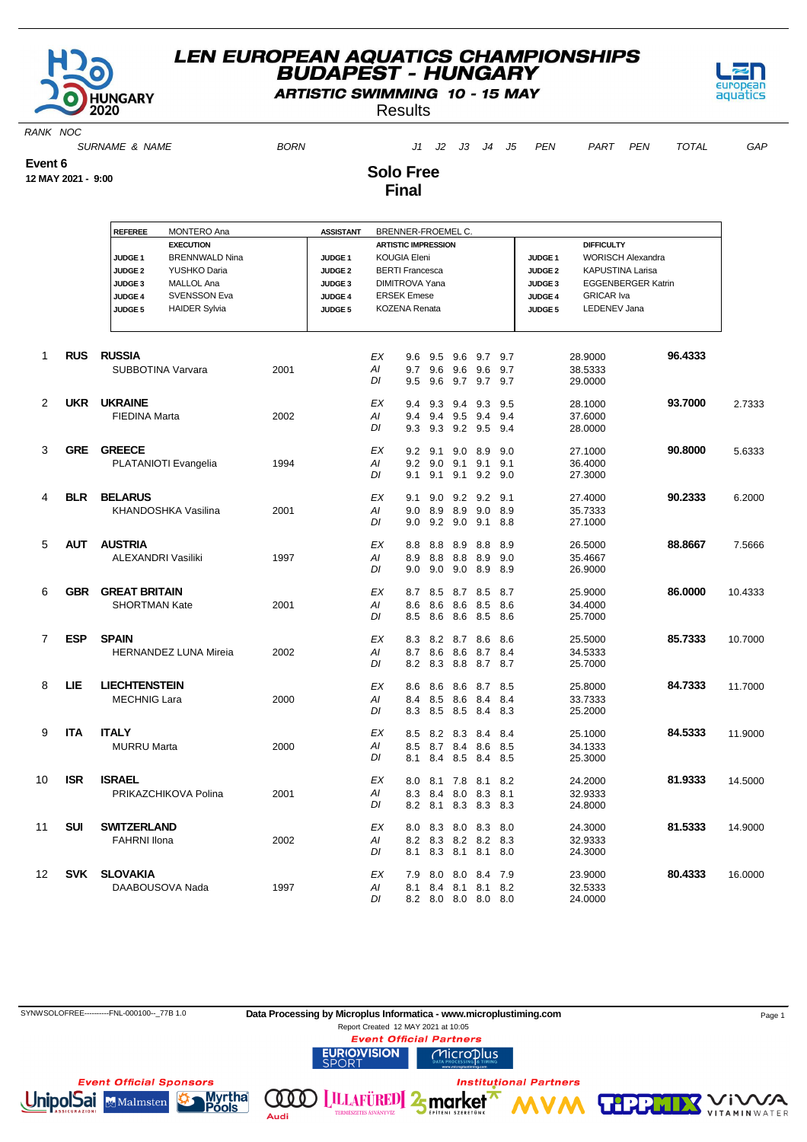

**ARTISTIC SWIMMING 10 - 15 MAY** 

**Results** 

**Solo Free Final**



RANK NOC

SURNAME & NAME BORN J1 J2 J3 J4 J5 PEN PART PEN TOTAL GAP

**Event 6**

**12 MAY 2021 - 9:00**

**REFEREE** MONTERO Ana **ASSISTANT** BRENNER-FROEMEL C. **EXECUTION ARTISTIC IMPRESSION DIFFICULTY JUDGE 1** BRENNWALD Nina **JUDGE 1** KOUGIA Eleni **JUDGE 1** WORISCH Alexandra **JUDGE 2** YUSHKO Daria **JUDGE 2** BERTI Francesca **JUDGE 2** KAPUSTINA Larisa **JUDGE 3** MALLOL Ana **JUDGE 3** DIMITROVA Yana **JUDGE 3** EGGENBERGER Katrin **JUDGE 4** SVENSSON Eva **JUDGE 4** ERSEK Emese **JUDGE 4** GRICAR Iva **JUDGE 5** HAIDER Sylvia **JUDGE 5** KOZENA Renata **JUDGE 5** LEDENEV Jana 1 **RUS RUSSIA** EX 9.6 9.5 9.6 9.7 9.7 28.9000 **96.4333** SUBBOTINA Varvara 2001 2001 AI 9.7 9.6 9.6 9.6 9.7 9.7 9.7 29.0000 2 **UKR UKRAINE** EX 9.4 9.3 9.4 9.3 9.5 28.1000 **93.7000** 2.7333 FIEDINA Marta 2002 AI 9.4 9.4 9.5 9.4 9.4 37.6000 DI 9.3 9.3 9.2 9.5 9.4 28.0000 3 **GRE GREECE** EX 9.2 9.1 9.0 8.9 9.0 27.1000 **90.8000** 5.6333 PLATANIOTI Evangelia 1994 AI 9.2 9.0 9.1 9.1 9.1 36.4000<br>DI 9.1 9.1 9.1 9.2 9.0 27.3000 DI 9.1 9.1 9.1 9.2 9.0 27.3000 4 **BLR BELARUS** EX 9.1 9.0 9.2 9.2 9.1 27.4000 **90.2333** 6.2000 KHANDOSHKA Vasilina 2001 AI 9.0 8.9 8.9 9.0 8.9 35.7333 DI 9.0 9.2 9.0 9.1 8.8 27.1000 5 **AUT AUSTRIA** EX 8.8 8.8 8.9 8.8 8.9 26.5000 **88.8667** 7.5666 ALEXANDRI Vasiliki 1997 AI 8.9 8.8 8.8 8.9 9.0 35.4667<br>26.9000 AI 9.0 9.0 9.0 8.9 8.9 26.9000 26.9000 6 **GBR GREAT BRITAIN** EX 8.7 8.5 8.7 8.5 8.7 25.9000 **86.0000** 10.4333 SHORTMAN Kate 2001 AI 8.6 8.6 8.6 8.5 8.6 34.4000<br>DI 8.5 8.6 8.6 8.5 8.6 25.7000 25.7000 7 **ESP SPAIN** EX 8.3 8.2 8.7 8.6 8.6 25.5000 **85.7333** 10.7000 HERNANDEZ LUNA Mireia 2002 AI 8.7 8.6 8.6 8.7 8.4 34.5333 DI 8.2 8.3 8.8 8.7 8.7 25.7000 8 **LIE LIECHTENSTEIN** EX 8.6 8.6 8.6 8.7 8.5 25.8000 **84.7333** 11.7000 MECHNIG Lara 2000 AI 8.4 8.5 8.6 8.4 8.4 33.7333<br>DI 8.3 8.5 8.4 8.3 25.2000 25.2000 9 **ITA ITALY** EX 8.5 8.2 8.3 8.4 8.4 25.1000 **84.5333** 11.9000 MURRU Marta 2000 AI 8.5 8.7 8.4 8.6 8.5 34.1333 DI 8.1 8.4 8.5 8.4 8.5 25.3000 10 **ISR ISRAEL** EX 8.0 8.1 7.8 8.1 8.2 24.2000 **81.9333** 14.5000 PRIKAZCHIKOVA Polina 2001 AI 8.3 8.4 8.0 8.3 8.1 32.9333 DI 8.2 8.1 8.3 8.3 8.3 24.8000 11 **SUI SWITZERLAND** EX 8.0 8.3 8.0 8.3 8.0 24.3000 **81.5333** 14.9000 FAHRNI Ilona 2002 AI 8.2 8.3 8.2 8.2 8.3 32.9333 24.3000 12 **SVK SLOVAKIA** EX 7.9 8.0 8.0 8.4 7.9 23.9000 **80.4333** 16.0000 DAABOUSOVA Nada 1997 AI 8.1 8.4 8.1 8.1 8.2 32.5333  $8.0 \quad 8.0 \quad 8.0$ 

SYNWSOLOFREE----------FNL-000100--\_77B 1.0 **Data Processing by Microplus Informatica - www.microplustiming.com** Page 1

**LILLAFÜRED** 2 market

Report Created 12 MAY 2021 at 10:05

MicroDlus

**Institutional Partners** 

**Event Official Partners URIOVISION** 

000.



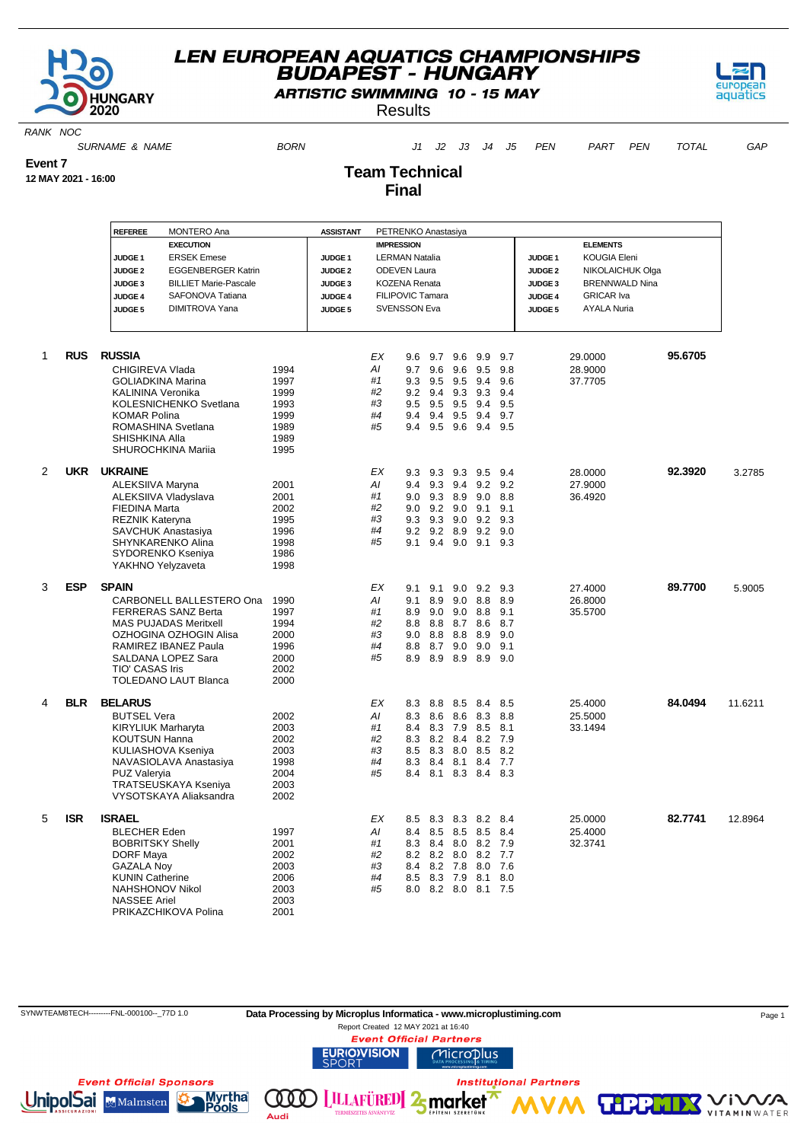

**ARTISTIC SWIMMING 10 - 15 MAY** 

**Results** 



RANK NOC

SURNAME & NAME BORN J1 J2 J3 J4 J5 PEN PART PEN TOTAL GAP

**Team Technical**

**Final**

**Event 7**

**12 MAY 2021 - 16:00**

#### **REFEREE** MONTERO Ana **ASSISTANT** PETRENKO Anastasiya **EXECUTION IMPRESSION ELEMENTS JUDGE 1** ERSEK Emese **JUDGE 1** LERMAN Natalia **JUDGE 1** KOUGIA Eleni **JUDGE 2** EGGENBERGER Katrin **JUDGE 2** ODEVEN Laura **JUDGE 2** NIKOLAICHUK Olga **JUDGE 3** BILLIET Marie-Pascale **JUDGE 3** KOZENA Renata **JUDGE 3** BRENNWALD Nina **JUDGE 4** SAFONOVA Tatiana **JUDGE 4** FILIPOVIC Tamara **JUDGE 4** GRICAR Iva **JUDGE 5** DIMITROVA Yana **JUDGE 5** SVENSSON Eva **JUDGE 5** AYALA Nuria 1 **RUS RUSSIA** EX 9.6 9.7 9.6 9.9 9.7 29.0000 **95.6705** CHIGIREVA Vlada 1994 AI 9.7 9.6 9.6 9.5 9.8 28.9000<br>COLIADKINA Marina 1997 #1 9.3 9.5 9.4 9.6 37.7705 GOLIADKINA Marina 1997 #1 9.3 9.5 9.5 9.4 9.6 37.710 AM ALININA Veronika KALININA Veronika 1999 #2 9.2 9.4 9.3 9.3 9.4 KOLESNICHENKO Svetlana 1993 #3 9.5 9.5 9.4<br>1999 #4 9.4 9.5 9.4 + 9.4 9.5 9.4 KOMAR Polina 1999 #4 9.4 9.4 9.5 9.4 9.7 ROMASHINA Svetlana 1989<br>SHISHKINA Alla 1989 SHISHKINA Alla<br>SHUROCHKINA Mariia 1995 SHUROCHKINA Mariia 2 **UKR UKRAINE** EX 9.3 9.3 9.3 9.5 9.4 28.0000 **92.3920** 3.2785 ALEKSIIVA Maryna 2001 AI 9.4 9.3 9.4 9.2 9.2 27.9000 ALEKSIIVA Vladyslava 2001 #1 9.0 9.3 8.9 9.0 8.8 36.4920 FIEDINA Marta 2002 #2 9.0 9.2 9.0 9.1 9.1 REZNIK Kateryna 1995 #3 9.3 9.3 9.0 9.2 9.3 SAVCHUK Anastasiya 1996 #4 9.2 9.2 8.9 9.2 9.0<br>SHYNKARENKO Alina 1998 #5 9.1 9.4 9.0 9.1 9.3 SHYNKARENKO Alina 1998 #5 9.1 9.4 9.0 9.1 9.3 SYDORENKO Kseniya 1986 YAKHNO Yelvzaveta 1998 3 **ESP SPAIN** EX 9.1 9.1 9.0 9.2 9.3 27.4000 **89.7700** 5.9005 CARBONELL BALLESTERO Ona 1990 AI 9.1 8.9 9.0 8.8 8.9 26.8000 FERRERAS SANZ Berta 1997 #1 8.9 9.0 9.0 8.8<br>MAS PUJADAS Meritxell 1994 #2 8.8 8.8 8.7 8.6 MAS PUJADAS Meritxell 1994  $#2$  8.8 8.8 8.7 8.6 8.7 0ZHOGINA OZHOGIN Alisa 2000  $#3$  9.0 8.8 8.8 8.9 9.0 OZHOGINA OZHOGIN Alisa 2000 #3 9.0 8.8 8.8 8.9 9.0 RAMIREZ IBANEZ Paula 1996 #4 8.8 8.7 9.0 9.0 9.1 SALDANA LOPEZ Sara 2000<br>TIO' CASAS Iris 2002 TIO' CASAS Iris 2002<br>TOLEDANO LAUT Blanca 2000 TOLEDANO LAUT Blanca 4 **BLR BELARUS** EX 8.3 8.8 8.5 8.4 8.5 25.4000 **84.0494** 11.6211 BUTSEL Vera 2002 AI 8.3 8.6 8.6 8.3 8.8 25.5000 KIRYLIUK Marharyta 2003 #1 8.4 8.3 7.9 8.5 8.1 33.1494 KOUTSUN Hanna 2002 #2 8.3 8.2 8.4 8.2 7.9 KULIASHOVA Kseniya 2003 #3 8.5 8.3 8.0 8.5 8.2 NAVASIOLAVA Anastasiya 1998 #4 8.3 8.4 8.1 8.4 7.7<br>PUZ Valeryia 2004 #5 8.4 8.1 8.3 8.4 8.3 PUZ Valeryia 2004 #5 8.4 8.1 8.3 8.4 8.3 TRATSEUSKAYA Kseniya VYSOTSKAYA Aliaksandra 2002 5 **ISR ISRAEL** EX 8.5 8.3 8.3 8.2 8.4 25.0000 **82.7741** 12.8964 BLECHER Eden 1997 AI 8.4 8.5 8.5 8.5 8.4 25.4000 BOBRITSKY Shelly 2001 #1 8.3 8.4 8.0 8.2 7.9 32.3741 DORF Maya 2002 #2 8.2 8.2 8.0 8.2 7.7 GAZALA Nov

SYNWTEAM8TECH---------FNL-000100--\_77D 1.0 **Data Processing by Microplus Informatica - www.microplustiming.com** Page 1

Report Created 12 MAY 2021 at 16:40**Event Official Partners** 

**URIO)VISION** 

KUNIN Catherine 2006 #4 8.5 8.3 7.9 8.1 8.0 NAHSHONOV Nikol 2003 #5 8.0 8.2 8.0 8.1 7.5

 $(000)$ 

Audi



NASSEE Ariel 2003 PRIKAZCHIKOVA Polina 2001



MicroDlus

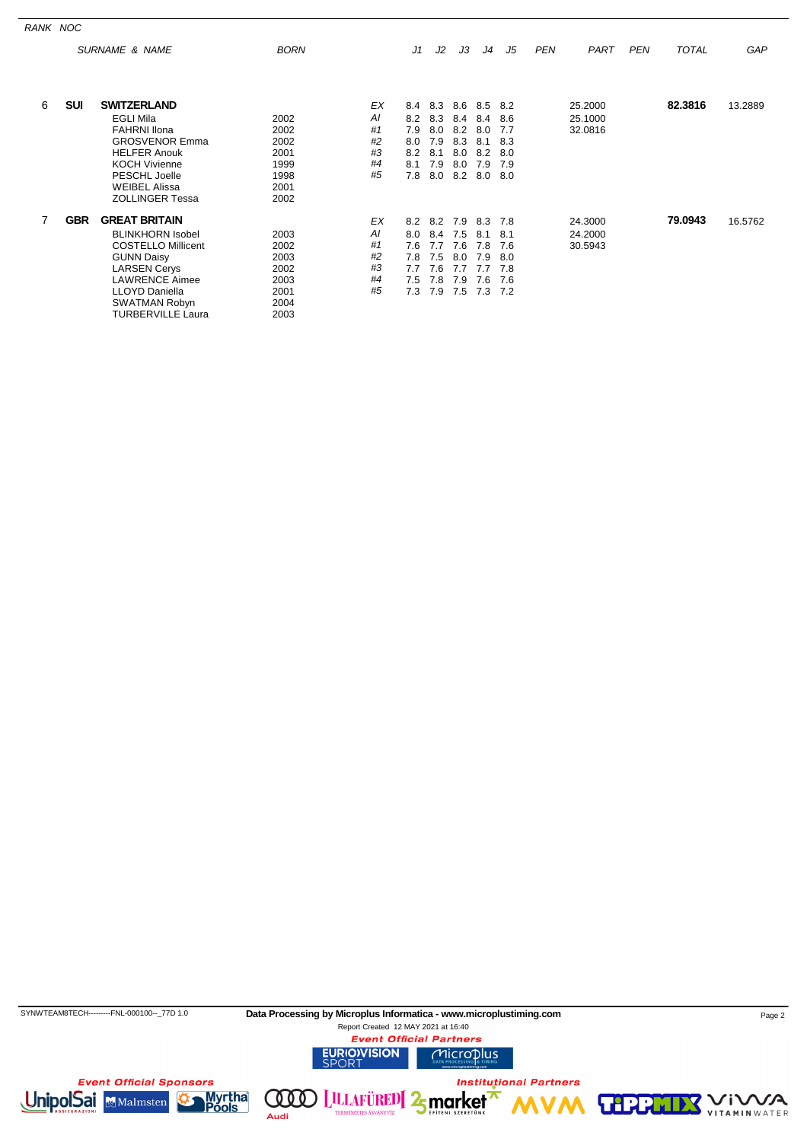| RANK NOC |            |                           |             |    |     |         |     |         |     |            |         |            |              |         |
|----------|------------|---------------------------|-------------|----|-----|---------|-----|---------|-----|------------|---------|------------|--------------|---------|
|          |            | <b>SURNAME &amp; NAME</b> | <b>BORN</b> |    | J1  | J2      | JЗ  | J4      | J5  | <b>PEN</b> | PART    | <b>PEN</b> | <b>TOTAL</b> | GAP     |
|          |            |                           |             |    |     |         |     |         |     |            |         |            |              |         |
| 6        | <b>SUI</b> | <b>SWITZERLAND</b>        |             | EX | 8.4 | 8.3     |     | 8.6 8.5 | 8.2 |            | 25.2000 |            | 82.3816      | 13.2889 |
|          |            | <b>EGLI Mila</b>          | 2002        | Al | 8.2 | 8.3     | 8.4 | 8.4     | 8.6 |            | 25.1000 |            |              |         |
|          |            | <b>FAHRNI</b> Ilona       | 2002        | #1 | 7.9 | 8.0     | 8.2 | 8.0     | 7.7 |            | 32.0816 |            |              |         |
|          |            | <b>GROSVENOR Emma</b>     | 2002        | #2 | 8.0 | 7.9     | 8.3 | 8.1     | 8.3 |            |         |            |              |         |
|          |            | <b>HELFER Anouk</b>       | 2001        | #3 | 8.2 | 8.1     | 8.0 | 8.2     | 8.0 |            |         |            |              |         |
|          |            | <b>KOCH Vivienne</b>      | 1999        | #4 | 8.1 | 7.9     | 8.0 | 7.9     | 7.9 |            |         |            |              |         |
|          |            | PESCHL Joelle             | 1998        | #5 | 7.8 | 8.0     |     | 8.2 8.0 | 8.0 |            |         |            |              |         |
|          |            | <b>WEIBEL Alissa</b>      | 2001        |    |     |         |     |         |     |            |         |            |              |         |
|          |            | <b>ZOLLINGER Tessa</b>    | 2002        |    |     |         |     |         |     |            |         |            |              |         |
| 7        | <b>GBR</b> | <b>GREAT BRITAIN</b>      |             | EX |     | 8.2 8.2 | 7.9 | 8.3     | 7.8 |            | 24.3000 |            | 79.0943      | 16.5762 |
|          |            | <b>BLINKHORN Isobel</b>   | 2003        | Al | 8.0 | 8.4     | 7.5 | 8.1     | 8.1 |            | 24.2000 |            |              |         |
|          |            | <b>COSTELLO Millicent</b> | 2002        | #1 | 7.6 | 7.7     | 7.6 | 7.8     | 7.6 |            | 30.5943 |            |              |         |
|          |            | <b>GUNN Daisy</b>         | 2003        | #2 | 7.8 | 7.5     | 8.0 | 7.9     | 8.0 |            |         |            |              |         |
|          |            | <b>LARSEN Cerys</b>       | 2002        | #3 | 7.7 | 7.6     | 7.7 | 7.7     | 7.8 |            |         |            |              |         |
|          |            | <b>LAWRENCE Aimee</b>     | 2003        | #4 | 7.5 | 7.8     | 7.9 | 7.6     | 7.6 |            |         |            |              |         |
|          |            | <b>LLOYD Daniella</b>     | 2001        | #5 | 7.3 | 7.9     | 7.5 | 7.3     | 7.2 |            |         |            |              |         |
|          |            | <b>SWATMAN Robyn</b>      | 2004        |    |     |         |     |         |     |            |         |            |              |         |
|          |            | <b>TURBERVILLE Laura</b>  | 2003        |    |     |         |     |         |     |            |         |            |              |         |

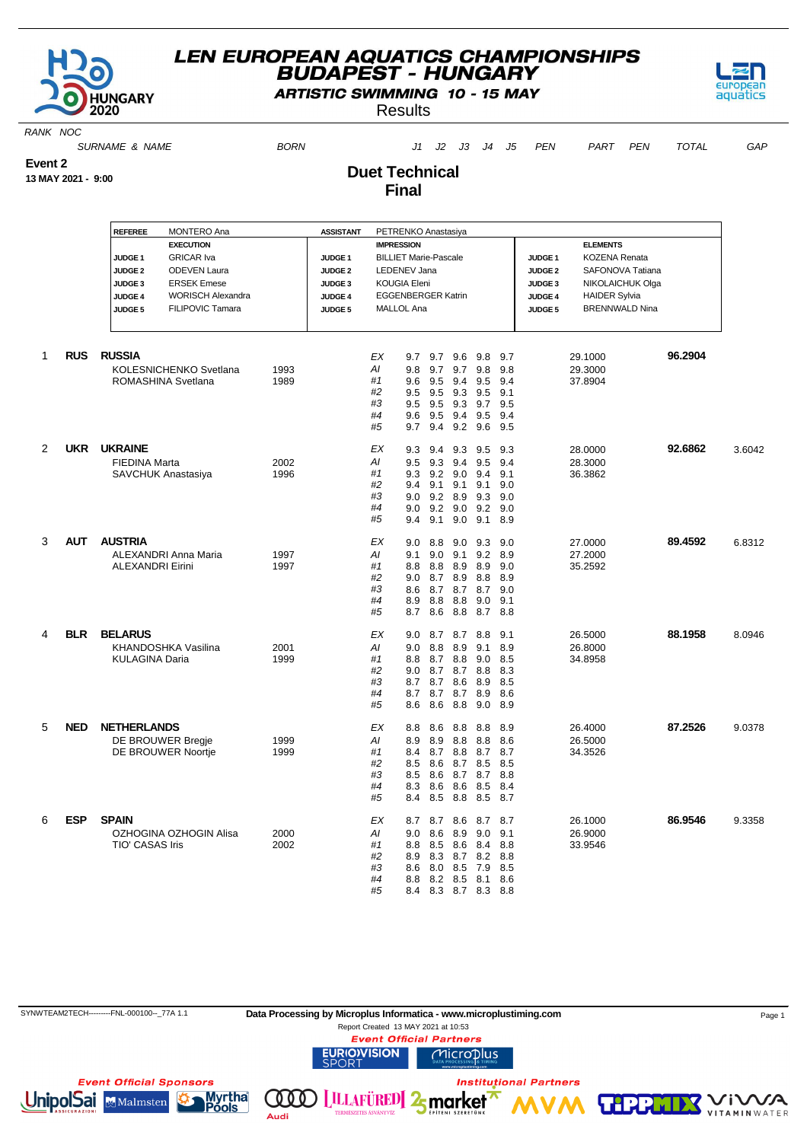

**ARTISTIC SWIMMING 10 - 15 MAY** 

**Results** 

**Duet Technical Final**



RANK NOC

SURNAME & NAME BORN J1 J2 J3 J4 J5 PEN PART PEN TOTAL GAP

**Event 2**

**13 MAY 2021 - 9:00**

#### **REFEREE** MONTERO Ana **ASSISTANT** PETRENKO Anastasiya **EXECUTION IMPRESSION ELEMENTS JUDGE 1** GRICAR Iva **JUDGE 1** BILLIET Marie-Pascale **JUDGE 1** KOZENA Renata **JUDGE 2** ODEVEN Laura **JUDGE 2** LEDENEV Jana **JUDGE 2** SAFONOVA Tatiana **JUDGE 3** ERSEK Emese **JUDGE 3** KOUGIA Eleni **JUDGE 3** NIKOLAICHUK Olga **JUDGE 4** WORISCH Alexandra **JUDGE 4** EGGENBERGER Katrin **JUDGE 4** HAIDER Sylvia **JUDGE 5** FILIPOVIC Tamara **JUDGE 5** MALLOL Ana **JUDGE 5** BRENNWALD Nina 1 **RUS RUSSIA** EX 9.7 9.7 9.6 9.8 9.7 29.1000 **96.2904** KOLESNICHENKO Svetlana 1993 Al 9.8 9.7 9.7 9.8 9.8 29.3000<br>ROMASHINA Svetlana 1989 #1 9.6 9.5 9.4 9.5 9.4 37.8904 ROMASHINA Svetlana 1989 #1 9.6 9.5 9.4 9.5 9.4 9.5 9.4 37.891  $#2$  9.5 9.5 9.3 9.5<br>  $#3$  9.5 9.5 9.3 9.7 #3 9.5 9.5 9.3 9.7 9.5 #4 9.6 9.5 9.4 9.5 9.4 9.4 2 **UKR UKRAINE** EX 9.3 9.4 9.3 9.5 9.3 28.0000 **92.6862** 3.6042 FIEDINA Marta 2002 AI 9.5 9.3 9.4 9.5 9.4 28.3000 SAVCHUK Anastasiya 1996 #1 9.3 9.2 9.0 9.4 9.1 36.3862 #2 9.4 9.1 9.1 9.1 9.0<br>#3 9.0 9.2 8.9 9.3 9.0 #3 9.0 9.2 8.9 9.3 9.0 #4 9.0 9.2 9.0 9.2 9.0<br>#5 9.4 9.1 9.0 9.1 8.9 #5 9.4 9.1 9.0 9.1 8.9 3 **AUT AUSTRIA** EX 9.0 8.8 9.0 9.3 9.0 27.0000 **89.4592** 6.8312 ALEXANDRI Anna Maria 1997 1997 Al 9.1 9.0 9.1 9.2 8.9 27.2000<br>ALEXANDRI Eirini 1997 #1 8.8 8.8 8.9 8.9 9.0 35.2592 ALEXANDRI Eirini 1997 #1 8.8 8.8 8.9 8.9 9.0 35.2592  $\frac{4}{142}$  9.0 8.7 8.9 8.8 8.9<br> $\frac{4}{143}$  8.6 8.7 8.7 8.7 9.0 #3 8.6 8.7 8.7 8.7 9.0 #4 8.9 8.8 8.8 9.0 9.1 8.7 4 **BLR BELARUS** EX 9.0 8.7 8.7 8.8 9.1 26.5000 **88.1958** 8.0946 RHANDOSHKA Vasilina  $\begin{array}{cccc} 2001 & A & 9.0 & 8.8 & 8.9 & 9.1 & 8.9 & 26.8000 \\ \text{KULAGINA Daria} & 1999 & \#1 & 8.8 & 8.7 & 8.8 & 9.0 & 8.5 & 34.8958 \end{array}$ KULAGINA Daria 1999  $#1$  8.8 8.7 8.8 9.0 8.5<br> $#2$  9.0 8.7 8.8 8.3 #2 9.0 8.7 8.7 8.8 8.3 #3 8.7 8.7 8.6 8.9<br>#4 8.7 8.7 8.7 8.9 #4 8.7 8.7 8.7 8.9 8.6 #5 8.6 8.6 8.8 9.0 8.9 5 **NED NETHERLANDS** EX 8.8 8.6 8.8 8.8 8.9 26.4000 **87.2526** 9.0378 DE BROUWER Bregie 1999 AI 8.9 8.9 8.8 8.8 8.6 DE BROUWER Noortje 1999 #1 8.4 8.7 8.8 8.7 8.7 34.3526 #2 8.5 8.6 8.7 8.5 8.5 #3 8.5 8.6 8.7 8.7 8.8 #4 8.3 8.6 8.6 8.5 8.4 #5 8.4 8.5 8.8 8.5 8.7 6 **ESP SPAIN** EX 8.7 8.7 8.6 8.7 8.7 26.1000 **86.9546** 9.3358 OZHOGINA OZHOGIN Alisa 2000 AI 9.0 8.6 8.9 9.0 9.1 26.9000 TIO' CASAS Iris 2002 #1 8.8 8.5 8.6 8.4 8.8<br>42 8.9 8.3 8.7 8.2 8.8

SYNWTEAM2TECH---------FNL-000100--\_77A 1.1 **Data Processing by Microplus Informatica - www.microplustiming.com** Page 1

Report Created 13 MAY 2021 at 10:53**Event Official Partners** 

#2 8.9 8.3 8.7 8.2 8.8 8.6 8.0 8.5<br>8.8 8.2 8.5 #4 8.8 8.2 8.5 8.1 8.6 8.4 8.3 8.7 8.3

**RIOWISION** 

 $000)$ 

Audi



**Institutional Partners LILLAFÜRED** 2 market

MicroDlus

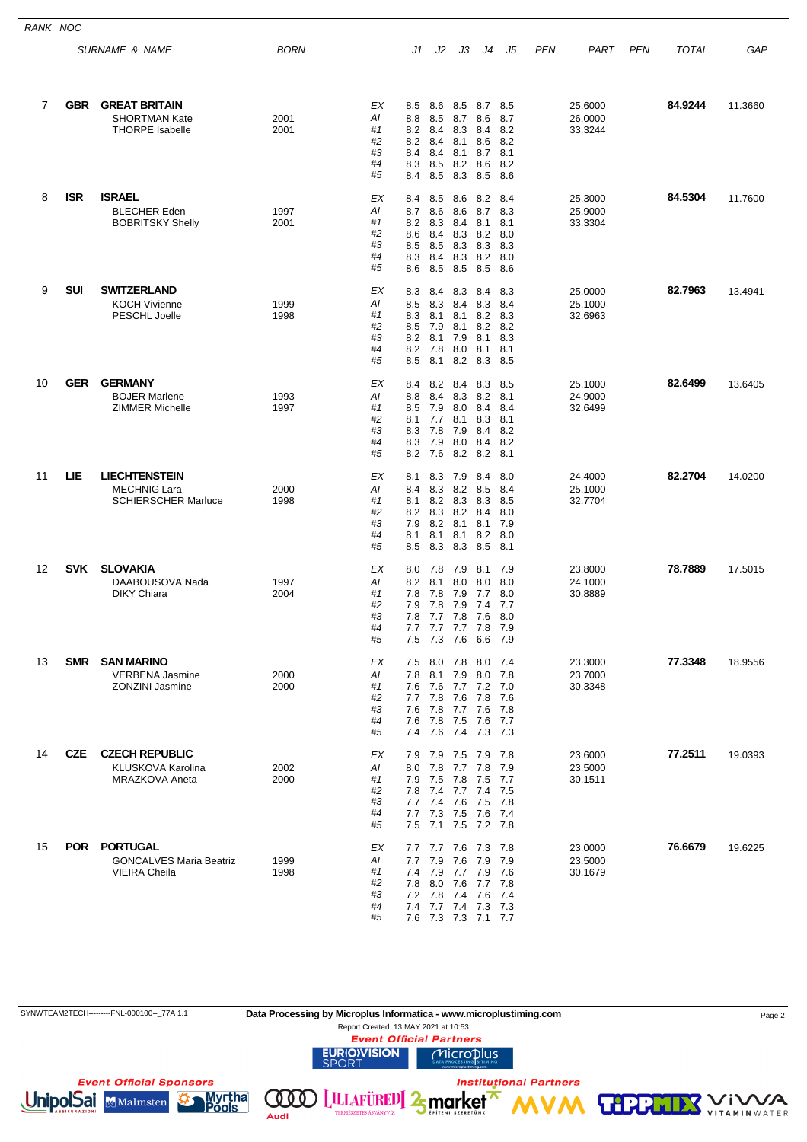| RANK NOC |            |                                                                           |              |                                        |                                                                                            |                                                                           |                                                       |                                                   |                                                 |            |                               |            |              |         |
|----------|------------|---------------------------------------------------------------------------|--------------|----------------------------------------|--------------------------------------------------------------------------------------------|---------------------------------------------------------------------------|-------------------------------------------------------|---------------------------------------------------|-------------------------------------------------|------------|-------------------------------|------------|--------------|---------|
|          |            | <b>SURNAME &amp; NAME</b>                                                 | <b>BORN</b>  |                                        | J1                                                                                         | J2                                                                        | JЗ                                                    | J4                                                | J5                                              | <b>PEN</b> | PART                          | <b>PEN</b> | <b>TOTAL</b> | GAP     |
| 7        | <b>GBR</b> | <b>GREAT BRITAIN</b><br><b>SHORTMAN Kate</b><br><b>THORPE Isabelle</b>    | 2001<br>2001 | ЕX<br>AI<br>#1<br>#2<br>#3<br>#4<br>#5 | 8.5<br>8.8<br>8.2<br>8.2<br>8.4<br>8.3<br>8.4                                              | 8.6<br>8.5<br>8.4<br>8.4<br>8.4<br>8.5<br>8.5                             | 8.7<br>8.3<br>8.1<br>8.1<br>8.2<br>8.3                | 8.5 8.7<br>8.6<br>8.4<br>8.6<br>8.7<br>8.6<br>8.5 | 8.5<br>8.7<br>8.2<br>8.2<br>8.1<br>8.2<br>8.6   |            | 25.6000<br>26.0000<br>33.3244 |            | 84.9244      | 11.3660 |
| 8        | <b>ISR</b> | <b>ISRAEL</b><br><b>BLECHER Eden</b><br><b>BOBRITSKY Shelly</b>           | 1997<br>2001 | ЕX<br>Al<br>#1<br>#2<br>#3<br>#4<br>#5 | 8.4<br>8.7<br>8.2<br>8.6<br>8.5<br>8.3<br>8.6                                              | 8.5<br>8.6<br>8.3<br>8.4<br>8.5<br>8.4<br>8.5                             | 8.6<br>8.6<br>8.4<br>8.3<br>8.3<br>8.3<br>8.5         | 8.2<br>8.7<br>8.1<br>8.2<br>8.3<br>8.2 8.0<br>8.5 | - 8.4<br>8.3<br>8.1<br>8.0<br>8.3<br>8.6        |            | 25.3000<br>25.9000<br>33.3304 |            | 84.5304      | 11.7600 |
| 9        | <b>SUI</b> | <b>SWITZERLAND</b><br><b>KOCH Vivienne</b><br>PESCHL Joelle               | 1999<br>1998 | ЕX<br>Al<br>#1<br>#2<br>#3<br>#4<br>#5 | 8.3<br>8.5<br>8.3<br>8.5<br>8.2<br>8.2<br>8.5                                              | 8.4<br>8.3<br>8.1<br>7.9<br>8.1<br>7.8<br>8.1                             | 8.3<br>8.4<br>8.1<br>8.1<br>7.9<br>8.0<br>8.2 8.3     | 8.4<br>8.3<br>8.2<br>8.2<br>8.1<br>8.1            | 8.3<br>8.4<br>8.3<br>8.2<br>8.3<br>8.1<br>- 8.5 |            | 25.0000<br>25.1000<br>32.6963 |            | 82.7963      | 13.4941 |
| 10       | <b>GER</b> | <b>GERMANY</b><br><b>BOJER Marlene</b><br><b>ZIMMER Michelle</b>          | 1993<br>1997 | EX<br>AI<br>#1<br>#2<br>#3<br>#4<br>#5 | 8.4<br>8.8<br>8.5<br>8.1<br>8.3<br>8.3<br>8.2                                              | 8.2<br>8.4<br>7.9<br>7.7<br>7.8<br>7.9<br>7.6                             | 8.4<br>8.3<br>8.0<br>8.1<br>7.9<br>8.0<br>8.2 8.2     | 8.3<br>8.2<br>8.4<br>8.3<br>8.4<br>8.4            | 8.5<br>8.1<br>8.4<br>8.1<br>8.2<br>8.2<br>- 8.1 |            | 25.1000<br>24.9000<br>32.6499 |            | 82.6499      | 13.6405 |
| 11       | LIE        | <b>LIECHTENSTEIN</b><br><b>MECHNIG Lara</b><br><b>SCHIERSCHER Marluce</b> | 2000<br>1998 | ЕX<br>Al<br>#1<br>#2<br>#3<br>#4<br>#5 | 8.1<br>8.4<br>8.1<br>8.2<br>7.9<br>8.1<br>8.5                                              | 8.3<br>8.3<br>8.2<br>8.3<br>8.2<br>8.1<br>8.3                             | 7.9<br>8.2<br>8.3<br>8.2 8.4<br>8.1<br>8.1<br>8.3 8.5 | 8.4<br>8.5<br>8.3<br>8.1<br>8.2                   | 8.0<br>8.4<br>8.5<br>8.0<br>- 7.9<br>8.0<br>8.1 |            | 24.4000<br>25.1000<br>32.7704 |            | 82.2704      | 14.0200 |
| 12       | <b>SVK</b> | <b>SLOVAKIA</b><br>DAABOUSOVA Nada<br><b>DIKY Chiara</b>                  | 1997<br>2004 | ЕX<br>Al<br>#1<br>#2<br>#3<br>#4<br>#5 | 8.0<br>8.2<br>7.8<br>7.9<br>7.8                                                            | 7.8<br>8.1<br>7.8<br>7.8<br>7.7<br>7.7 7.7 7.7 7.8<br>7.5 7.3 7.6 6.6 7.9 | 7.9<br>8.0<br>7.9<br>7.9<br>7.8                       | 8.1<br>8.0<br>7.7<br>7.4<br>7.6                   | 7.9<br>8.0<br>8.0<br>7.7<br>8.0<br>- 7.9        |            | 23.8000<br>24.1000<br>30.8889 |            | 78.7889      | 17.5015 |
| 13       | SMR        | <b>SAN MARINO</b><br><b>VERBENA Jasmine</b><br><b>ZONZINI Jasmine</b>     | 2000<br>2000 | ЕX<br>ΑI<br>#1<br>#2<br>#3<br>#4<br>#5 | 7.5 8.0 7.8 8.0 7.4<br>7.8<br>7.6<br>7.7 7.8<br>7.6<br>7.6<br>7.4                          | 8.1<br>7.6<br>7.8<br>7.8<br>7.6 7.4 7.3 7.3                               | 7.9<br>7.7<br>7.6<br>7.7 7.6<br>7.5 7.6               | 8.0<br>7.2<br>7.8                                 | 7.8<br>7.0<br>7.6<br>- 7.8<br>7.7               |            | 23.3000<br>23.7000<br>30.3348 |            | 77.3348      | 18.9556 |
| 14       | <b>CZE</b> | <b>CZECH REPUBLIC</b><br>KLUSKOVA Karolina<br>MRAZKOVA Aneta              | 2002<br>2000 | ЕX<br>AI<br>#1<br>#2<br>#3<br>#4<br>#5 | 7.9<br>8.0<br>7.9<br>7.8<br>7.7<br>7.7 7.3                                                 | 7.9<br>7.8<br>7.5<br>7.4<br>7.4<br>7.5 7.1 7.5 7.2 7.8                    | 7.5 7.9<br>7.7 7.8<br>7.8<br>7.7 7.4<br>7.6<br>7.5    | 7.5<br>7.5<br>7.6                                 | 7.8<br>7.9<br>7.7<br>- 7.5<br>- 7.8<br>7.4      |            | 23.6000<br>23.5000<br>30.1511 |            | 77.2511      | 19.0393 |
| 15       | POR        | <b>PORTUGAL</b><br><b>GONCALVES Maria Beatriz</b><br><b>VIEIRA Cheila</b> | 1999<br>1998 | ЕX<br>ΑI<br>#1<br>#2<br>#3<br>#4       | 7.7 7.7 7.6 7.3 7.8<br>7.7<br>7.4<br>7.8 8.0<br>7.2 7.8 7.4 7.6 7.4<br>7.4 7.7 7.4 7.3 7.3 | 7.9<br>7.9                                                                | 7.6<br>7.7 7.9<br>7.6                                 | 7.9<br>7.7 7.8                                    | 79<br>- 7.6                                     |            | 23.0000<br>23.5000<br>30.1679 |            | 76.6679      | 19.6225 |

SYNWTEAM2TECH---------FNL-000100--\_77A 1.1 **Data Processing by Microplus Informatica - www.microplustiming.com** Page 2

Report Created 13 MAY 2021 at 10:53<br>**Event Official Partners** 

#5 7.6 7.3 7.3 7.1 7.7

**Institutional Partners** 

 $\underset{\text{data Processing} \left[ \text{min} \right]}{\text{Microsoft}}$ 

**COOO LILLAFÜREDI 25 market \*** 

**URIOVISION** 



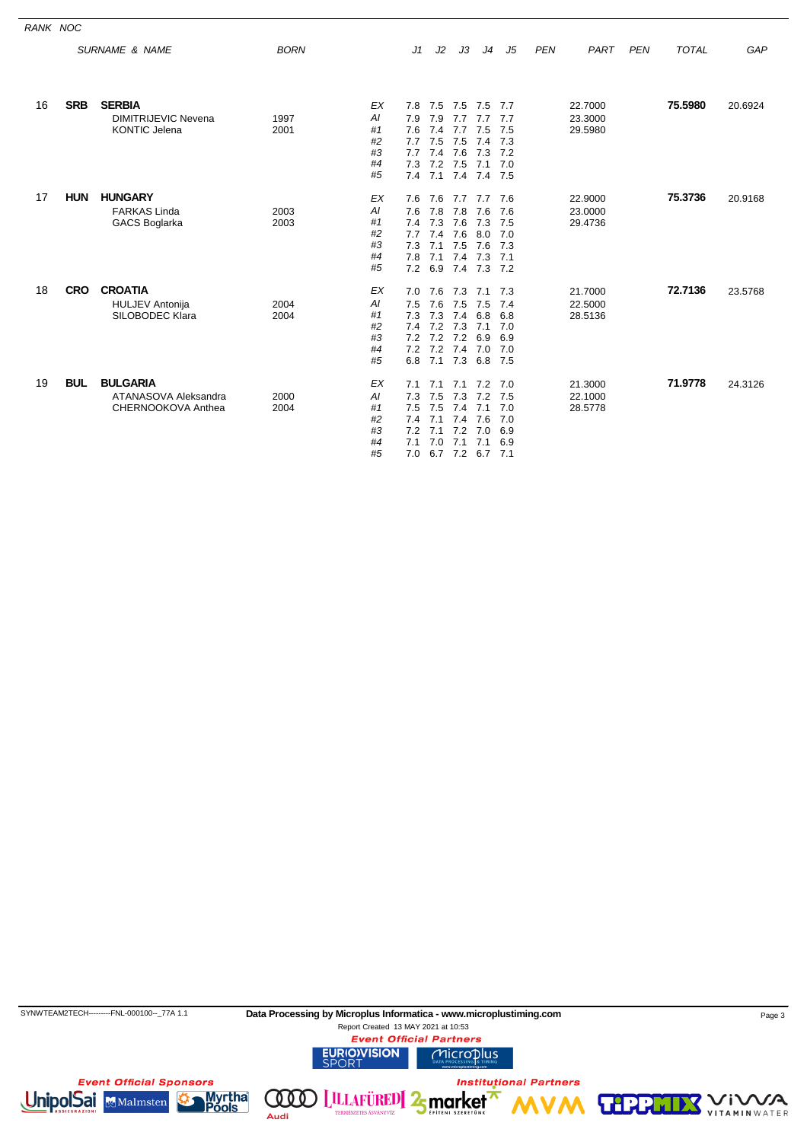| RANK NOC |            |                                                                     |              |                                              |                                                      |                                                      |                                               |                                                                  |                                               |            |                               |            |              |         |
|----------|------------|---------------------------------------------------------------------|--------------|----------------------------------------------|------------------------------------------------------|------------------------------------------------------|-----------------------------------------------|------------------------------------------------------------------|-----------------------------------------------|------------|-------------------------------|------------|--------------|---------|
|          |            | <b>SURNAME &amp; NAME</b>                                           | <b>BORN</b>  |                                              | J1                                                   | J2                                                   | JЗ                                            | J4                                                               | J5                                            | <b>PEN</b> | PART                          | <b>PEN</b> | <b>TOTAL</b> | GAP     |
| 16       | <b>SRB</b> | <b>SERBIA</b><br><b>DIMITRIJEVIC Nevena</b><br><b>KONTIC Jelena</b> | 1997<br>2001 | EX<br>Al<br>#1<br>#2<br>#3<br>#4             | 7.8<br>7.9<br>7.6<br>7.7<br>7.7<br>7.3               | 7.5<br>7.9<br>7.4<br>7.5<br>7.4<br>7.2               | 7.5<br>7.7<br>7.7<br>7.5<br>7.6<br>7.5        | 7.5<br>7.7<br>7.5<br>7.4<br>7.3<br>7.1                           | 7.7<br>7.7<br>7.5<br>7.3<br>7.2<br>7.0        |            | 22.7000<br>23.3000<br>29.5980 |            | 75.5980      | 20.6924 |
| 17       | <b>HUN</b> | <b>HUNGARY</b><br><b>FARKAS Linda</b><br><b>GACS Boglarka</b>       | 2003<br>2003 | #5<br>EX<br>Al<br>#1<br>#2<br>#3<br>#4<br>#5 | 7.4<br>7.6<br>7.6<br>7.4<br>7.7<br>7.3<br>7.8<br>7.2 | 7.1<br>7.6<br>7.8<br>7.3<br>7.4<br>7.1<br>7.1<br>6.9 | 7.7<br>7.8<br>7.6<br>7.6<br>7.5<br>7.4<br>7.4 | 7.4 7.4 7.5<br>7.7<br>7.6<br>7.3<br>8.0<br>7.6<br>7.3<br>7.3 7.2 | 7.6<br>7.6<br>7.5<br>7.0<br>7.3<br>7.1        |            | 22.9000<br>23.0000<br>29.4736 |            | 75.3736      | 20.9168 |
| 18       | <b>CRO</b> | <b>CROATIA</b><br><b>HULJEV Antonija</b><br>SILOBODEC Klara         | 2004<br>2004 | EX<br>Al<br>#1<br>#2<br>#3<br>#4<br>#5       | 7.0<br>7.5<br>7.3<br>7.4<br>7.2<br>7.2<br>6.8        | 7.6<br>7.6<br>7.3<br>7.2<br>7.2<br>7.2<br>7.1        | 7.3<br>7.5<br>7.4<br>7.3<br>7.2<br>7.4<br>7.3 | 7.1<br>7.5<br>6.8<br>7.1<br>6.9<br>7.0<br>6.8                    | 7.3<br>7.4<br>6.8<br>7.0<br>6.9<br>7.0<br>7.5 |            | 21.7000<br>22.5000<br>28.5136 |            | 72.7136      | 23.5768 |
| 19       | <b>BUL</b> | <b>BULGARIA</b><br>ATANASOVA Aleksandra<br>CHERNOOKOVA Anthea       | 2000<br>2004 | EX<br>AI<br>#1<br>#2<br>#3<br>#4<br>#5       | 7.1<br>7.3<br>7.5<br>7.4<br>7.2<br>7.1<br>7.0        | 7.1<br>7.5<br>7.5<br>7.1<br>7.1<br>7.0               | 7.1<br>7.3<br>7.4<br>7.4<br>7.2<br>7.1        | 7.2<br>7.2<br>7.1<br>7.6<br>7.0<br>7.1<br>6.7 7.2 6.7 7.1        | 7.0<br>7.5<br>7.0<br>7.0<br>6.9<br>6.9        |            | 21.3000<br>22.1000<br>28.5778 |            | 71.9778      | 24.3126 |

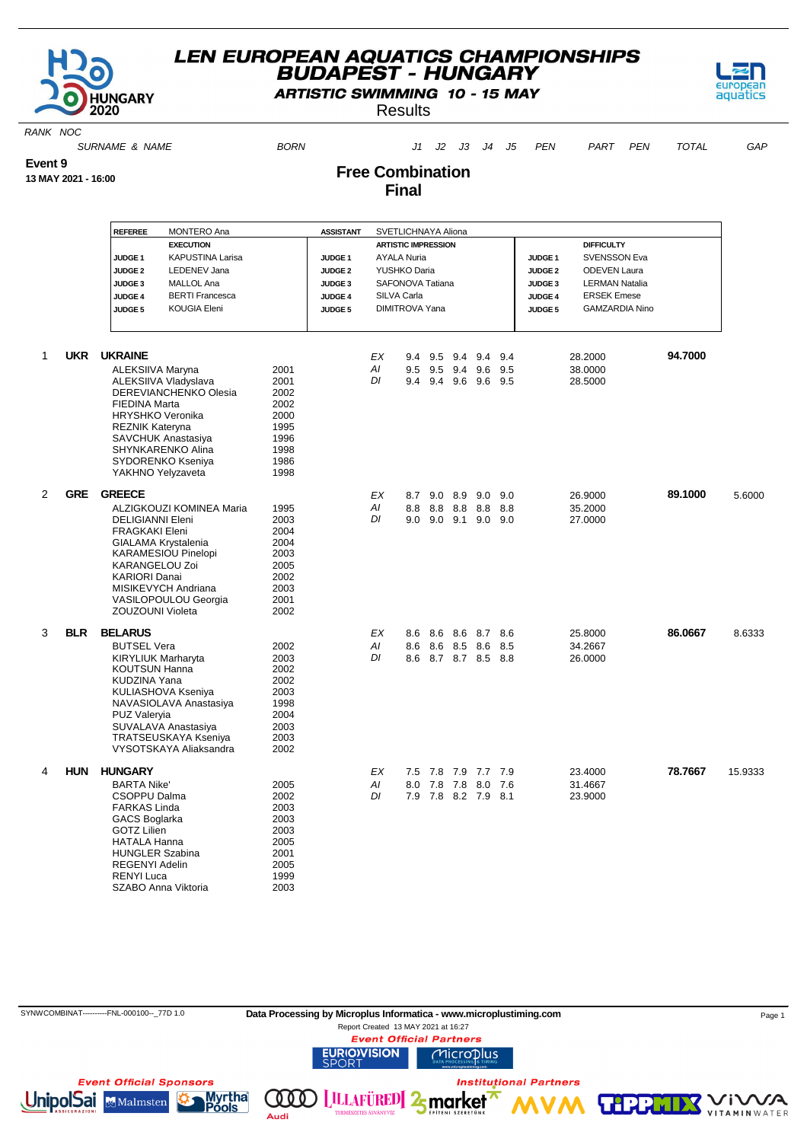

**ARTISTIC SWIMMING 10 - 15 MAY** 

**Results** 

**Free Combination**



RANK NOC

ALEKSIIVA Vladyslava

SURNAME & NAME 6 BORN 1 J1 J2 J3 J4 J5 PEN PART PEN TOTAL GAP

**Event 9**

**13 MAY 2021 - 16:00**

### **Final REFEREE** MONTERO Ana **ASSISTANT** SVETLICHNAYA Aliona **EXECUTION ARTISTIC IMPRESSION DIFFICULTY JUDGE 1** KAPUSTINA Larisa **JUDGE 1** AYALA Nuria **JUDGE 1** SVENSSON Eva **JUDGE 2** LEDENEV Jana **JUDGE 2** YUSHKO Daria **JUDGE 2** ODEVEN Laura **JUDGE 3** MALLOL Ana **JUDGE 3** SAFONOVA Tatiana **JUDGE 3** LERMAN Natalia **JUDGE 4** BERTI Francesca **JUDGE 4** SILVA Carla **JUDGE 4** ERSEK Emese **JUDGE 5** KOUGIA Eleni **JUDGE 5** DIMITROVA Yana **JUDGE 5** GAMZARDIA Nino

ALEKSIIVA Maryna 2001 AI 9.5 9.5 9.4 9.6 9.5 38.0000

1 **UKR UKRAINE** EX 9.4 9.5 9.4 9.4 9.4 28.2000 **94.7000**

|   |            | DEREVIANCHENKO Olesia<br><b>FIEDINA Marta</b><br><b>HRYSHKO Veronika</b><br><b>REZNIK Kateryna</b><br><b>SAVCHUK Anastasiya</b><br>SHYNKARENKO Alina<br>SYDORENKO Kseniya<br>YAKHNO Yelyzaveta                                                                          | 2002<br>2002<br>2000<br>1995<br>1996<br>1998<br>1986<br>1998                 |                |            |                |            |                                           |            |                               |         |        |
|---|------------|-------------------------------------------------------------------------------------------------------------------------------------------------------------------------------------------------------------------------------------------------------------------------|------------------------------------------------------------------------------|----------------|------------|----------------|------------|-------------------------------------------|------------|-------------------------------|---------|--------|
| 2 | <b>GRE</b> | <b>GREECE</b>                                                                                                                                                                                                                                                           |                                                                              | EX             | 8.7        |                |            | 9.0 8.9 9.0 9.0                           |            | 26.9000                       | 89.1000 | 5.6000 |
|   |            | ALZIGKOUZI KOMINEA Maria<br><b>DELIGIANNI Eleni</b><br><b>FRAGKAKI Eleni</b><br><b>GIALAMA Krystalenia</b><br><b>KARAMESIOU Pinelopi</b><br><b>KARANGELOU Zoi</b><br><b>KARIORI Danai</b><br>MISIKEVYCH Andriana<br>VASILOPOULOU Georgia<br>ZOUZOUNI Violeta            | 1995<br>2003<br>2004<br>2004<br>2003<br>2005<br>2002<br>2003<br>2001<br>2002 | AI<br>DI       | 8.8<br>9.0 | 8.8<br>9.0     | 8.8<br>9.1 | 8.8<br>9.0                                | 8.8<br>9.0 | 35.2000<br>27.0000            |         |        |
| 3 | <b>BLR</b> | <b>BELARUS</b><br><b>BUTSEL Vera</b><br><b>KIRYLIUK Marharyta</b><br><b>KOUTSUN Hanna</b><br><b>KUDZINA Yana</b><br>KULIASHOVA Kseniya<br>NAVASIOLAVA Anastasiya<br><b>PUZ Valervia</b><br>SUVALAVA Anastasiya<br><b>TRATSEUSKAYA Kseniya</b><br>VYSOTSKAYA Aliaksandra | 2002<br>2003<br>2002<br>2002<br>2003<br>1998<br>2004<br>2003<br>2003<br>2002 | EX<br>Al<br>DI | 8.6<br>8.6 | 8.6 8.6<br>8.7 |            | 8.6 8.7 8.6<br>8.6 8.5 8.6 8.5<br>8.7 8.5 | 8.8        | 25.8000<br>34.2667<br>26.0000 | 86.0667 | 8.6333 |

| 4 | <b>HUN</b> | <b>HUNGARY</b>         |      | ЕX |  | 7.5 7.8 7.9 7.7 7.9 | 23,4000 | 78.7667 | 15.9333 |
|---|------------|------------------------|------|----|--|---------------------|---------|---------|---------|
|   |            | <b>BARTA Nike'</b>     | 2005 | Al |  | 8.0 7.8 7.8 8.0 7.6 | 31.4667 |         |         |
|   |            | CSOPPU Dalma           | 2002 | DI |  | 7.9 7.8 8.2 7.9 8.1 | 23,9000 |         |         |
|   |            | <b>FARKAS Linda</b>    | 2003 |    |  |                     |         |         |         |
|   |            | GACS Boglarka          | 2003 |    |  |                     |         |         |         |
|   |            | GOTZ Lilien            | 2003 |    |  |                     |         |         |         |
|   |            | <b>HATALA Hanna</b>    | 2005 |    |  |                     |         |         |         |
|   |            | <b>HUNGLER Szabina</b> | 2001 |    |  |                     |         |         |         |
|   |            | <b>REGENYI Adelin</b>  | 2005 |    |  |                     |         |         |         |
|   |            | RENYI Luca             | 1999 |    |  |                     |         |         |         |
|   |            | SZABO Anna Viktoria    | 2003 |    |  |                     |         |         |         |
|   |            |                        |      |    |  |                     |         |         |         |

SYNWCOMBINAT----------FNL-000100--\_77D 1.0 **Data Processing by Microplus Informatica - www.microplustiming.com** 

Report Created 13 MAY 2021 at 16:27**Event Official Partners** 

MicroDlus

market

**Institutional Partners** 

**RIOWISION** 

**LLLAFÜRED** 

000



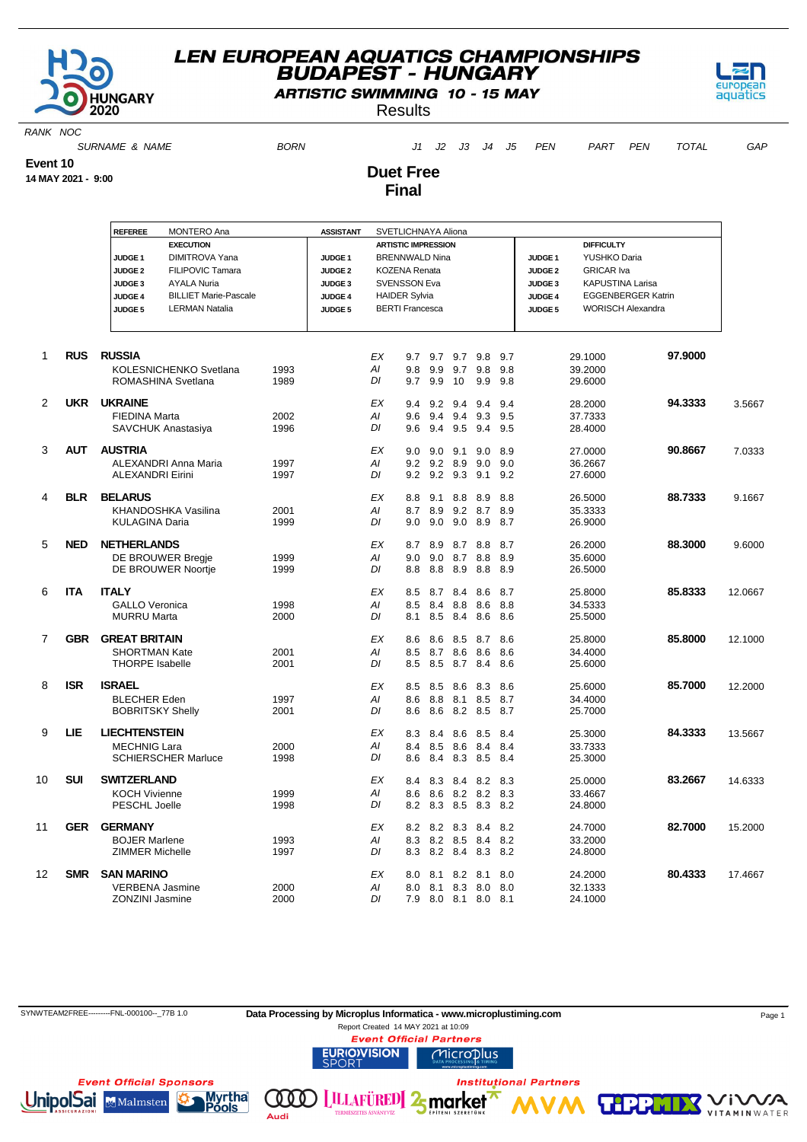

**ARTISTIC SWIMMING 10 - 15 MAY** 

**Results** 

**Duet Free Final**



RANK NOC

SURNAME & NAME 6 BORN 1 J1 J2 J3 J4 J5 PEN PART PEN TOTAL GAP

**Event 10**

**14 MAY 2021 - 9:00**

#### **REFEREE** MONTERO Ana **ASSISTANT** SVETLICHNAYA Aliona **EXECUTION ARTISTIC IMPRESSION DIFFICULTY JUDGE 1** DIMITROVA Yana **JUDGE 1** BRENNWALD Nina **JUDGE 1** YUSHKO Daria **JUDGE 2** FILIPOVIC Tamara **COZENA Renata JUDGE 2** GRICAR Iva **JUDGE 3** AYALA Nuria **JUDGE 3** SVENSSON Eva **JUDGE 3** KAPUSTINA Larisa **JUDGE 4** BILLIET Marie-Pascale **JUDGE 4** HAIDER Sylvia **JUDGE 4** EGGENBERGER Katrin **JUDGE 5** LERMAN Natalia **JUDGE 5** BERTI Francesca **JUDGE 5** WORISCH Alexandra 1 **RUS RUSSIA** EX 9.7 9.7 9.7 9.8 9.7 29.1000 **97.9000** KOLESNICHENKO Svetlana 1993 AI 9.8 9.9 9.7 9.8 9.8 39.2000 ROMASHINA Svetlana 2 **UKR UKRAINE** EX 9.4 9.2 9.4 9.4 9.4 28.2000 **94.3333** 3.5667 FIEDINA Marta 2002 AI 9.6 9.4 9.4 9.3 9.5 37.7333 SAVCHUK Anastasiya 1996 DI 9.6 9.4 9.5 9.4 9.5 28.4000 3 **AUT AUSTRIA** EX 9.0 9.0 9.1 9.0 8.9 27.0000 **90.8667** 7.0333 ALEXANDRI Anna Maria 1997 1997 Al 9.2 9.2 8.9 9.0 9.0 36.2667<br>ALEXANDRI Eirini 1997 1997 DI 9.2 9.2 9.3 9.1 9.2 27.6000 ALEXANDRI Eirini 1997 DI 9.2 9.2 9.3 9.1 9.2 4 **BLR BELARUS** EX 8.8 9.1 8.8 8.9 8.8 26.5000 **88.7333** 9.1667 KHANDOSHKA Vasilina  $\begin{array}{cccc} 2001 & A & 8.7 & 8.9 & 9.2 & 8.7 & 8.9 & 35.3333 \\ \text{KULAGINA Daria} & 1999 & D & 9.0 & 9.0 & 9.0 & 8.9 & 8.7 & 26.9000 \end{array}$ KULAGINA Daria 1999 DI 9.0 9.0 9.0 8.9 8.7 5 **NED NETHERLANDS** EX 8.7 8.9 8.7 8.8 8.7 26.2000 **88.3000** 9.6000 DE BROUWER Bregje 1999 AI 9.0 9.0 8.7 8.8 8.9 35.6000<br>DE BROUWER Noortje 1999 DI 8.8 8.8 8.9 8.8 8.9 26.5000 DE BROUWER Noortje 6 **ITA ITALY** EX 8.5 8.7 8.4 8.6 8.7 25.8000 **85.8333** 12.0667 GALLO Veronica 1998 AI 8.5 8.4 8.8 8.6 8.8 34.5333 MURRU Marta 7 **GBR GREAT BRITAIN** EX 8.6 8.6 8.5 8.7 8.6 25.8000 **85.8000** 12.1000 SHORTMAN Kate 2001 AI 8.5 8.7 8.6 8.6 8.6 34.4000<br>THORPE Isabelle 2001 DI 8.5 8.5 8.7 8.4 8.6 25.6000 THORPE Isabelle 2001 DI 8.5 8.5 8.7 8.4 8 **ISR ISRAEL** EX 8.5 8.5 8.6 8.3 8.6 25.6000 **85.7000** 12.2000 BLECHER Eden 1997 AI 8.6 8.8 8.1 8.5 8.7 34.4000 BOBRITSKY Shelly 9 **LIE LIECHTENSTEIN** EX 8.3 8.4 8.6 8.5 8.4 25.3000 **84.3333** 13.5667 MECHNIG Lara 2000 AI 8.4 8.5 8.6 8.4 8.4 33.7333 SCHIERSCHER Marluce 1998 DI 8.6 8.4 8.3 10 **SUI SWITZERLAND** EX 8.4 8.3 8.4 8.2 8.3 25.0000 **83.2667** 14.6333 KOCH Vivienne 1999 AI 8.6 8.6 8.2 8.2 8.3 33.4667 PESCHL Joelle 1998 DI 8.2 8.3 8.5 8.3 8.2 24.8000 11 **GER GERMANY** EX 8.2 8.2 8.3 8.4 8.2 24.7000 **82.7000** 15.2000 BOJER Marlene 1993 AI 8.3 8.2 8.5 8.4 8.2 33.2000 ZIMMER Michelle 12 **SMR SAN MARINO** EX 8.0 8.1 8.2 8.1 8.0 24.2000 **80.4333** 17.4667 VERBENA Jasmine 2000 AI 8.0 8.1 8.3 8.0 8.0 32.1333 **ZONZINI Jasmine 2000 DI 7.9 8.0 8.1 8.0 8.1**

SYNWTEAM2FREE---------FNL-000100--\_77B 1.0 **Data Processing by Microplus Informatica - www.microplustiming.com** Page 1

**LILLAFÜRED** 2 market

Report Created 14 MAY 2021 at 10:09**Event Official Partners** 

MicroDlus

**URIO)VISION** 

000)





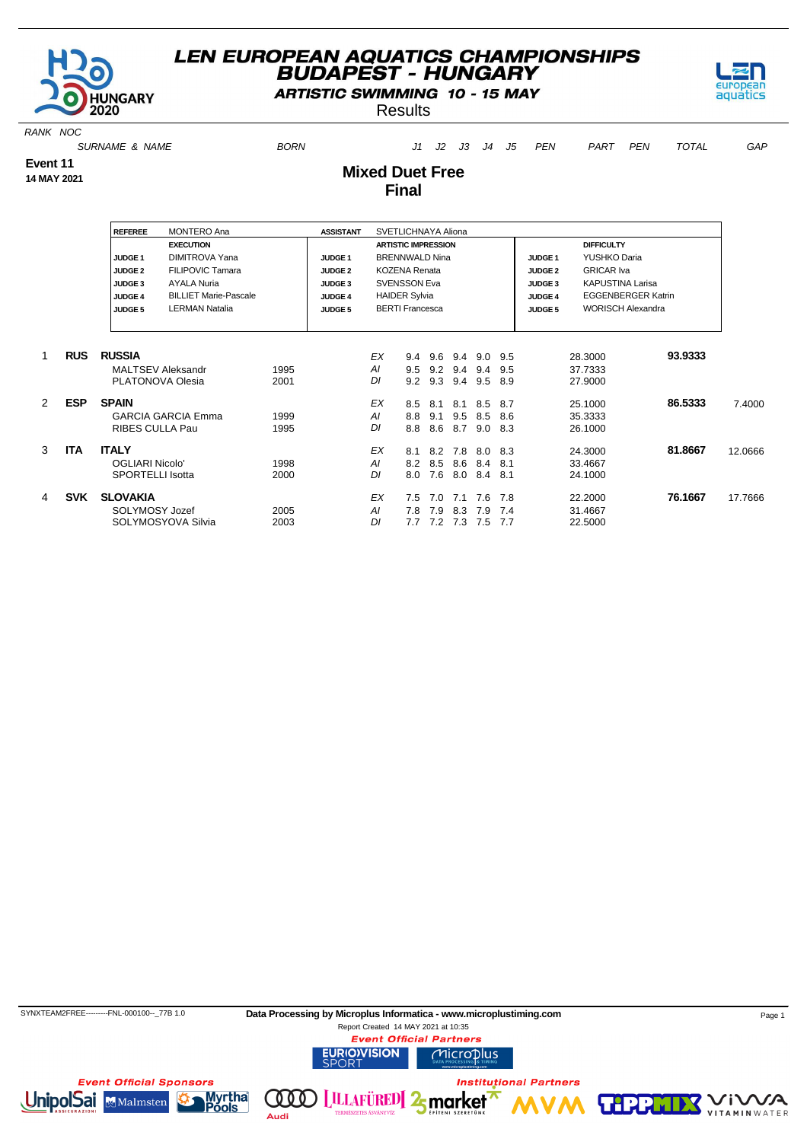

**ARTISTIC SWIMMING 10 - 15 MAY** 

**Results** 

**Mixed Duet Free Final**



RANK NOC

SURNAME & NAME 6 BORN 1 J1 J2 J3 J4 J5 PEN PART PEN TOTAL GAP

**Event 11**

**14 MAY 2021**

#### **REFEREE** MONTERO Ana **ASSISTANT** SVETLICHNAYA Aliona **EXECUTION CONSUMING ARTISTIC IMPRESSION CONSUMING A PROPERTY OF A RTISTIC IMPRESSION JUDGE 1** DIMITROVA Yana **JUDGE 1** BRENNWALD Nina **JUDGE 1** YUSHKO Daria **JUDGE 2** FILIPOVIC Tamara **COZENA Renata JUDGE 2** GRICAR Iva **JUDGE 3** AYALA Nuria **JUDGE 3** SVENSSON Eva **JUDGE 3** KAPUSTINA Larisa **JUDGE 4** BILLIET Marie-Pascale **JUDGE 4** HAIDER Sylvia **JUDGE 4** EGGENBERGER Katrin **JUDGE 5** LERMAN Natalia **JUDGE 5** BERTI Francesca **JUDGE 5** WORISCH Alexandra 1 **RUS RUSSIA** EX 9.4 9.6 9.4 9.0 9.5 28.3000 **93.9333** 1995 Al 9.5 9.2 9.4 9.4 9.5 37.7333<br>1901 DI 9.2 9.3 9.4 9.5 8.9 27.9000 PLATONOVA Olesia 2 **ESP SPAIN** EX 8.5 8.1 8.1 8.5 8.7 25.1000 **86.5333** 7.4000 GARCIA GARCIA Emma 1999 AI 8.8 9.1 9.5 8.5 8.6 35.3333<br>RIBES CULLA Pau 1995 DI 8.8 8.6 8.7 9.0 8.3 26.1000 RIBES CULLA Pau 1995 DI 8.8 8.6 8.7 9.0 8.3 26.1000 3 **ITA ITALY** EX 8.1 8.2 7.8 8.0 8.3 24.3000 **81.8667** 12.0666 OGLIARI Nicolo' 1998 AI 8.2 8.5 8.6 8.4 8.1 33.4667<br>SPORTELLI Isotta 2000 DI 8.0 7.6 8.0 8.4 8.1 24.1000 7.6 8.0 8.4 8.1 4 **SVK SLOVAKIA** EX 7.5 7.0 7.1 7.6 7.8 22.2000 **76.1667** 17.7666 Al 7.8 7.9 8.3 7.9 7.4 31.4667<br>DI 7.7 7.2 7.3 7.5 7.7 22.5000 SOLYMOSYOVA Silvia 2003

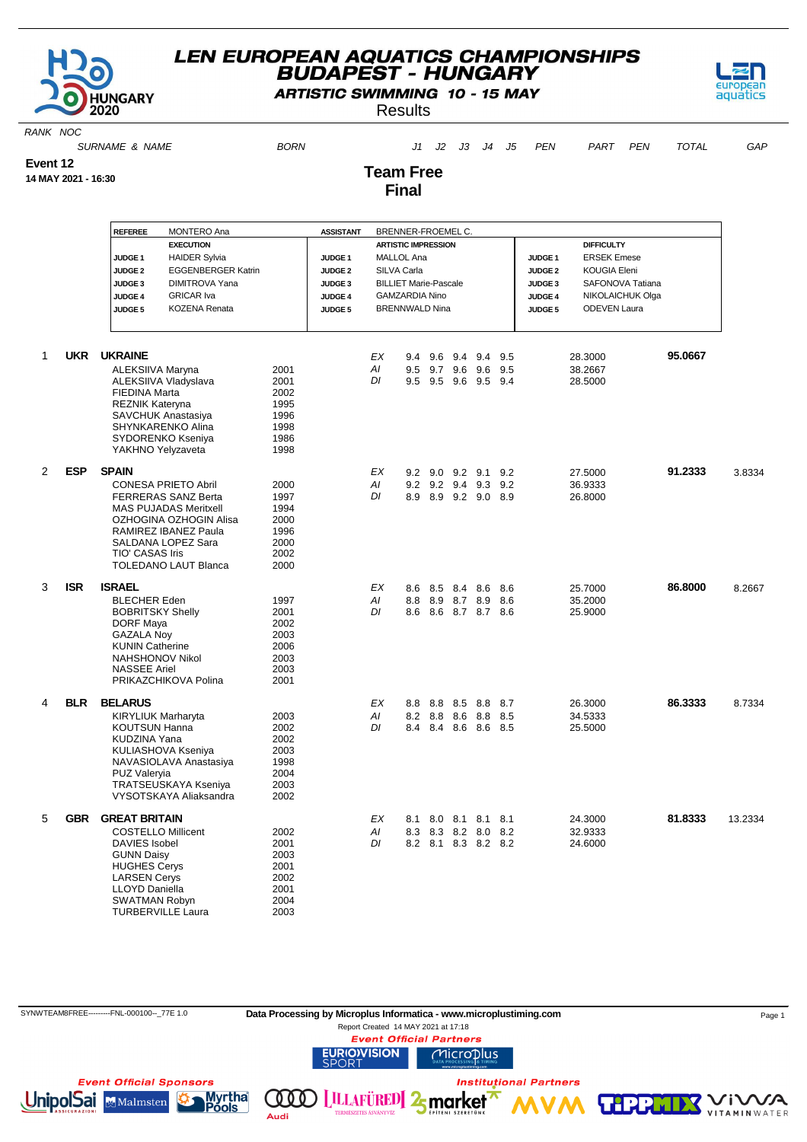

**ARTISTIC SWIMMING 10 - 15 MAY** 

**Results** 

**Team Free Final**



RANK NOC

SURNAME & NAME BORN J1 J2 J3 J4 J5 PEN PART PEN TOTAL GAP

**Event 12**

**14 MAY 2021 - 16:30**

**REFEREE** MONTERO Ana **ASSISTANT** BRENNER-FROEMEL C **EXECUTION ARTISTIC IMPRESSION DIFFICULTY JUDGE 1** HAIDER Sylvia **JUDGE 1** MALLOL Ana **JUDGE 1** ERSEK Emese **JUDGE 2** EGGENBERGER Katrin **JUDGE 2** SILVA Carla **JUDGE 2** KOUGIA Eleni **JUDGE 3** DIMITROVA Yana **JUDGE 3** BILLIET Marie-Pascale **JUDGE 3** SAFONOVA Tatiana **JUDGE 4** GRICAR Iva **JUDGE 4** GAMZARDIA Nino **JUDGE 4** NIKOLAICHUK Olga **JUDGE 5** KOZENA Renata **JUDGE 5** BRENNWALD Nina **JUDGE 5** ODEVEN Laura 1 **UKR UKRAINE** EX 9.4 9.6 9.4 9.4 9.5 28.3000 **95.0667** ALEKSIIVA Maryna 2001 AI 9.5 9.7 9.6 9.6 9.5 38.2667 ALEKSIIVA Vladyslava 2001<br>FIEDINA Marta 2002 FIEDINA Marta<br>REZNIK Kateryna 1995 REZNIK Kateryna<br>SAVCHUK Anastasiya 1996 SAVCHUK Anastasiya 1996<br>SHYNKARENKO Alina 1998 SHYNKARENKO Alina 1998<br>SYDORENKO Kseniva 1986 SYDORENKO Kseniya 1986<br>YAKHNO Yelyzaveta 1998 YAKHNO Yelyzaveta 2 **ESP SPAIN** EX 9.2 9.0 9.2 9.1 9.2 27.5000 **91.2333** 3.8334 CONESA PRIETO Abril 2000 AI 9.2 9.2 9.4 9.3 9.2 36.9333 FERRERAS SANZ Berta 1997 DI 8.9 8.9 9.2 9.0 8.9 26.8000 MAS PUJADAS Meritxell 1994<br>
OZHOGINA OZHOGIN Alisa 2000 OZHOGINA OZHOGIN Alisa 2000 RAMIREZ IBANEZ Paula 1996 SALDANA LOPEZ Sara 2000 TIO' CASAS Iris 2002 TOLEDANO LAUT Blanca 2000 3 **ISR ISRAEL** EX 8.6 8.5 8.4 8.6 8.6 25.7000 **86.8000** 8.2667 PO BLECHER Eden 1997 AI 8.8 8.9 8.7 8.9 8.6 35.2000<br>
BOBRITSKY Shelly 2001 DI 8.6 8.6 8.7 8.7 8.6 25.9000 BOBRITSKY Shelly 2001<br>DORF Maya 2002 DORF Maya<br>GAZALA Nov 2003 GAZALA Noy 2003<br>KUNIN Catherine 2006 KUNIN Catherine 2006<br>NAHSHONOV Nikol 2003 NAHSHONOV Nikol 2003<br>NASSEE Ariel 2003 NASSEE Ariel 2003<br>
PRIKAZCHIKOVA Polina 2001 PRIKAZCHIKOVA Polina 4 **BLR BELARUS** EX 8.8 8.8 8.5 8.8 8.7 26.3000 **86.3333** 8.7334 KIRYLIUK Marharyta 2003 AI 8.2 8.8 8.6 8.8 8.5 34.5333 KOUTSUN Hanna 2002 DI 8.4 8.4 8.6 8.6 8.5 25.5000 KUDZINA Yana<br>KULIASHOVA Kseniva 2003 KULIASHOVA Kseniya 2003<br>NAVASIOLAVA Anastasiya 1998 NAVASIOLAVA Anastasiya 1998<br>PUZ Valeryia 2004 PUZ Valeryia 2004<br>TRATSEUSKAYA Kseniya 2003 TRATSEUSKAYA Kseniya VYSOTSKAYA Aliaksandra 2002 5 **GBR GREAT BRITAIN** EX 8.1 8.0 8.1 8.1 8.1 24.3000 **81.8333** 13.2334 COSTELLO Millicent 2002 AI 8.3 8.3 8.2 8.0 8.2 32.9333 DAVIES Isobel 2001 DI 8.2 8.1 8.3 8.2 8.2 24.6000 GUNN Daisy 2003<br>HUGHES Cervs 2001 HUGHES Cervs LARSEN Cerys 2002 LLOYD Daniella 2001 SWATMAN Robyn 2004 TURBERVILLE Laura 2003

SYNWTEAM8FREE---------FNL-000100--\_77E 1.0 **Data Processing by Microplus Informatica - www.microplustiming.com** Page 1

Report Created 14 MAY 2021 at 17:18**Event Official Partners** 

**RIOVISION** 

000

Audi



**Institutional Partners LILLAFÜRED** 2 market

MicroDlus

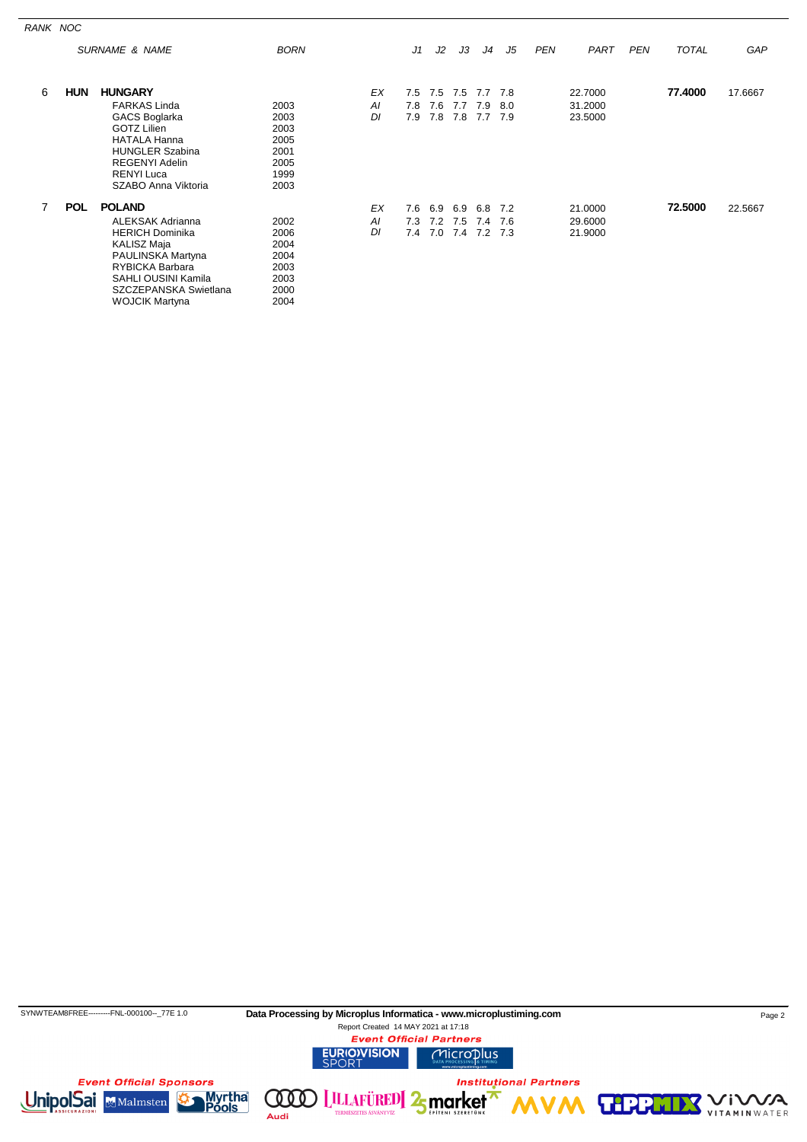| RANK NOC |            |                                                                                                                                                                                          |                                                              |                |                   |                   |                   |                                |                   |            |                               |     |              |         |
|----------|------------|------------------------------------------------------------------------------------------------------------------------------------------------------------------------------------------|--------------------------------------------------------------|----------------|-------------------|-------------------|-------------------|--------------------------------|-------------------|------------|-------------------------------|-----|--------------|---------|
|          |            | <b>SURNAME &amp; NAME</b>                                                                                                                                                                | <b>BORN</b>                                                  |                | J1                | J2                | J3                | J4                             | J5                | <b>PEN</b> | PART                          | PEN | <b>TOTAL</b> | GAP     |
| 6        | <b>HUN</b> | <b>HUNGARY</b><br><b>FARKAS Linda</b><br>GACS Boglarka<br><b>GOTZ Lilien</b><br><b>HATALA Hanna</b><br><b>HUNGLER Szabina</b><br><b>REGENYI Adelin</b><br><b>RENYI Luca</b>              | 2003<br>2003<br>2003<br>2005<br>2001<br>2005<br>1999         | EX<br>Al<br>DI | 7.5<br>7.8<br>7.9 | 7.5<br>7.6<br>7.8 | 7.5<br>7.7<br>7.8 | 7.7<br>7.9<br>7.7              | 7.8<br>8.0<br>7.9 |            | 22.7000<br>31.2000<br>23.5000 |     | 77.4000      | 17.6667 |
| 7        | <b>POL</b> | SZABO Anna Viktoria<br><b>POLAND</b>                                                                                                                                                     | 2003                                                         | EX             | 7.6               | 6.9               | 6.9               | 6.8                            | 7.2               |            | 21.0000                       |     | 72.5000      | 22.5667 |
|          |            | <b>ALEKSAK Adrianna</b><br><b>HERICH Dominika</b><br><b>KALISZ Maja</b><br>PAULINSKA Martyna<br>RYBICKA Barbara<br>SAHLI OUSINI Kamila<br>SZCZEPANSKA Swietlana<br><b>WOJCIK Martyna</b> | 2002<br>2006<br>2004<br>2004<br>2003<br>2003<br>2000<br>2004 | Al<br>DI       | 7.3               |                   | 7.2 7.5           | 7.4 7.6<br>7.4 7.0 7.4 7.2 7.3 |                   |            | 29.6000<br>21.9000            |     |              |         |

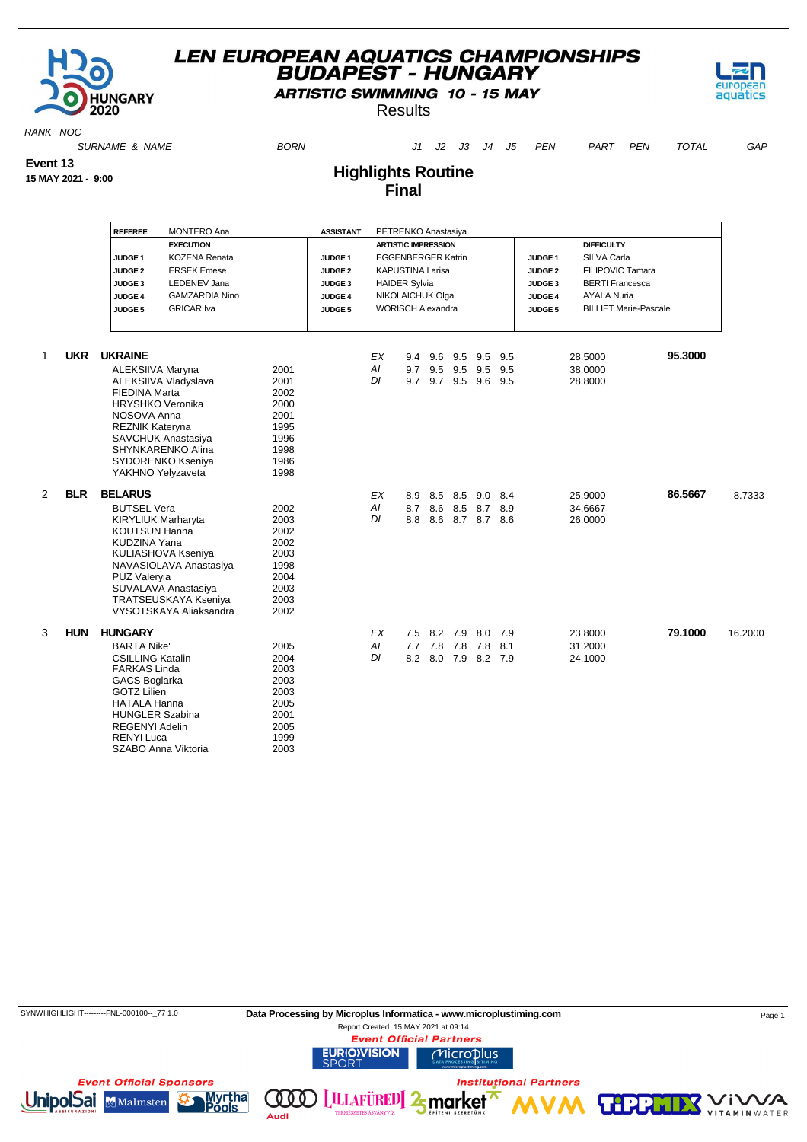

**ARTISTIC SWIMMING 10 - 15 MAY** 

**Results** 



RANK NOC

SURNAME & NAME 6 BORN BORN J1 J2 J3 J4 J5 PEN PART PEN TOTAL GAP

**Event 13 15 MAY 2021 - 9:00**

#### **Highlights Routine Final**

|   |            | <b>REFEREE</b>            | <b>MONTERO</b> Ana        |      | <b>ASSISTANT</b>   | PETRENKO Anastasiya      |                            |                     |             |                 |     |                    |                              |         |         |
|---|------------|---------------------------|---------------------------|------|--------------------|--------------------------|----------------------------|---------------------|-------------|-----------------|-----|--------------------|------------------------------|---------|---------|
|   |            |                           | <b>EXECUTION</b>          |      |                    |                          | <b>ARTISTIC IMPRESSION</b> |                     |             |                 |     |                    | <b>DIFFICULTY</b>            |         |         |
|   |            | <b>JUDGE1</b>             | <b>KOZENA Renata</b>      |      | JUDGE <sub>1</sub> |                          | <b>EGGENBERGER Katrin</b>  |                     |             |                 |     | JUDGE <sub>1</sub> | SILVA Carla                  |         |         |
|   |            | <b>JUDGE 2</b>            | <b>ERSEK Emese</b>        |      | JUDGE <sub>2</sub> |                          | <b>KAPUSTINA Larisa</b>    |                     |             |                 |     | JUDGE <sub>2</sub> | FILIPOVIC Tamara             |         |         |
|   |            | <b>JUDGE 3</b>            | LEDENEV Jana              |      | JUDGE <sub>3</sub> | <b>HAIDER Sylvia</b>     |                            |                     |             |                 |     | JUDGE 3            | <b>BERTI Francesca</b>       |         |         |
|   |            |                           | <b>GAMZARDIA Nino</b>     |      |                    |                          |                            |                     |             |                 |     |                    | <b>AYALA Nuria</b>           |         |         |
|   |            | <b>JUDGE 4</b>            |                           |      | <b>JUDGE 4</b>     | NIKOLAICHUK Olga         |                            |                     |             |                 |     | <b>JUDGE 4</b>     |                              |         |         |
|   |            | <b>JUDGE 5</b>            | <b>GRICAR</b> Iva         |      | JUDGE 5            | <b>WORISCH Alexandra</b> |                            |                     |             |                 |     | JUDGE 5            | <b>BILLIET Marie-Pascale</b> |         |         |
| 1 | <b>UKR</b> | <b>UKRAINE</b>            |                           |      |                    | EX                       | 9.4                        |                     | 9.6 9.5 9.5 |                 | 9.5 |                    | 28.5000                      | 95.3000 |         |
|   |            |                           |                           | 2001 |                    | AI                       | 9.7                        |                     |             | 9.5 9.5 9.5 9.5 |     |                    | 38.0000                      |         |         |
|   |            | ALEKSIIVA Maryna          | ALEKSIIVA Vladyslava      | 2001 |                    | DI                       |                            | 9.7 9.7 9.5 9.6 9.5 |             |                 |     |                    | 28.8000                      |         |         |
|   |            | <b>FIEDINA Marta</b>      |                           | 2002 |                    |                          |                            |                     |             |                 |     |                    |                              |         |         |
|   |            | <b>HRYSHKO Veronika</b>   |                           | 2000 |                    |                          |                            |                     |             |                 |     |                    |                              |         |         |
|   |            | NOSOVA Anna               |                           | 2001 |                    |                          |                            |                     |             |                 |     |                    |                              |         |         |
|   |            | <b>REZNIK Kateryna</b>    |                           | 1995 |                    |                          |                            |                     |             |                 |     |                    |                              |         |         |
|   |            |                           | <b>SAVCHUK Anastasiya</b> | 1996 |                    |                          |                            |                     |             |                 |     |                    |                              |         |         |
|   |            |                           | SHYNKARENKO Alina         | 1998 |                    |                          |                            |                     |             |                 |     |                    |                              |         |         |
|   |            |                           | SYDORENKO Kseniya         | 1986 |                    |                          |                            |                     |             |                 |     |                    |                              |         |         |
|   |            | YAKHNO Yelyzaveta         |                           | 1998 |                    |                          |                            |                     |             |                 |     |                    |                              |         |         |
| 2 | <b>BLR</b> | <b>BELARUS</b>            |                           |      |                    | EX                       |                            | 8.9 8.5 8.5 9.0 8.4 |             |                 |     |                    | 25.9000                      | 86.5667 | 8.7333  |
|   |            | <b>BUTSEL Vera</b>        |                           | 2002 |                    | Al                       | 8.7                        |                     |             | 8.6 8.5 8.7 8.9 |     |                    | 34.6667                      |         |         |
|   |            | <b>KIRYLIUK Marharyta</b> |                           | 2003 |                    | DI                       | 8.8                        |                     |             | 8.6 8.7 8.7 8.6 |     |                    | 26.0000                      |         |         |
|   |            | <b>KOUTSUN Hanna</b>      |                           | 2002 |                    |                          |                            |                     |             |                 |     |                    |                              |         |         |
|   |            | KUDZINA Yana              |                           | 2002 |                    |                          |                            |                     |             |                 |     |                    |                              |         |         |
|   |            |                           | <b>KULIASHOVA Kseniya</b> | 2003 |                    |                          |                            |                     |             |                 |     |                    |                              |         |         |
|   |            |                           | NAVASIOLAVA Anastasiya    | 1998 |                    |                          |                            |                     |             |                 |     |                    |                              |         |         |
|   |            | <b>PUZ Valeryia</b>       |                           | 2004 |                    |                          |                            |                     |             |                 |     |                    |                              |         |         |
|   |            |                           | SUVALAVA Anastasiya       | 2003 |                    |                          |                            |                     |             |                 |     |                    |                              |         |         |
|   |            |                           | TRATSEUSKAYA Kseniya      | 2003 |                    |                          |                            |                     |             |                 |     |                    |                              |         |         |
|   |            |                           | VYSOTSKAYA Aliaksandra    | 2002 |                    |                          |                            |                     |             |                 |     |                    |                              |         |         |
| 3 | <b>HUN</b> | <b>HUNGARY</b>            |                           |      |                    | EX                       |                            | 7.5 8.2 7.9 8.0 7.9 |             |                 |     |                    | 23.8000                      | 79.1000 | 16.2000 |
|   |            | <b>BARTA Nike'</b>        |                           | 2005 |                    | AI                       |                            | 7.7 7.8 7.8 7.8 8.1 |             |                 |     |                    | 31.2000                      |         |         |
|   |            | <b>CSILLING Katalin</b>   |                           | 2004 |                    | DI                       |                            | 8.2 8.0 7.9 8.2 7.9 |             |                 |     |                    | 24.1000                      |         |         |
|   |            | <b>FARKAS Linda</b>       |                           | 2003 |                    |                          |                            |                     |             |                 |     |                    |                              |         |         |
|   |            | <b>GACS Boglarka</b>      |                           | 2003 |                    |                          |                            |                     |             |                 |     |                    |                              |         |         |
|   |            | <b>GOTZ Lilien</b>        |                           | 2003 |                    |                          |                            |                     |             |                 |     |                    |                              |         |         |
|   |            | <b>HATALA Hanna</b>       |                           | 2005 |                    |                          |                            |                     |             |                 |     |                    |                              |         |         |
|   |            | <b>HUNGLER Szabina</b>    |                           | 2001 |                    |                          |                            |                     |             |                 |     |                    |                              |         |         |
|   |            | <b>REGENYI Adelin</b>     |                           | 2005 |                    |                          |                            |                     |             |                 |     |                    |                              |         |         |
|   |            | <b>RENYI Luca</b>         |                           | 1999 |                    |                          |                            |                     |             |                 |     |                    |                              |         |         |
|   |            |                           | SZABO Anna Viktoria       | 2003 |                    |                          |                            |                     |             |                 |     |                    |                              |         |         |

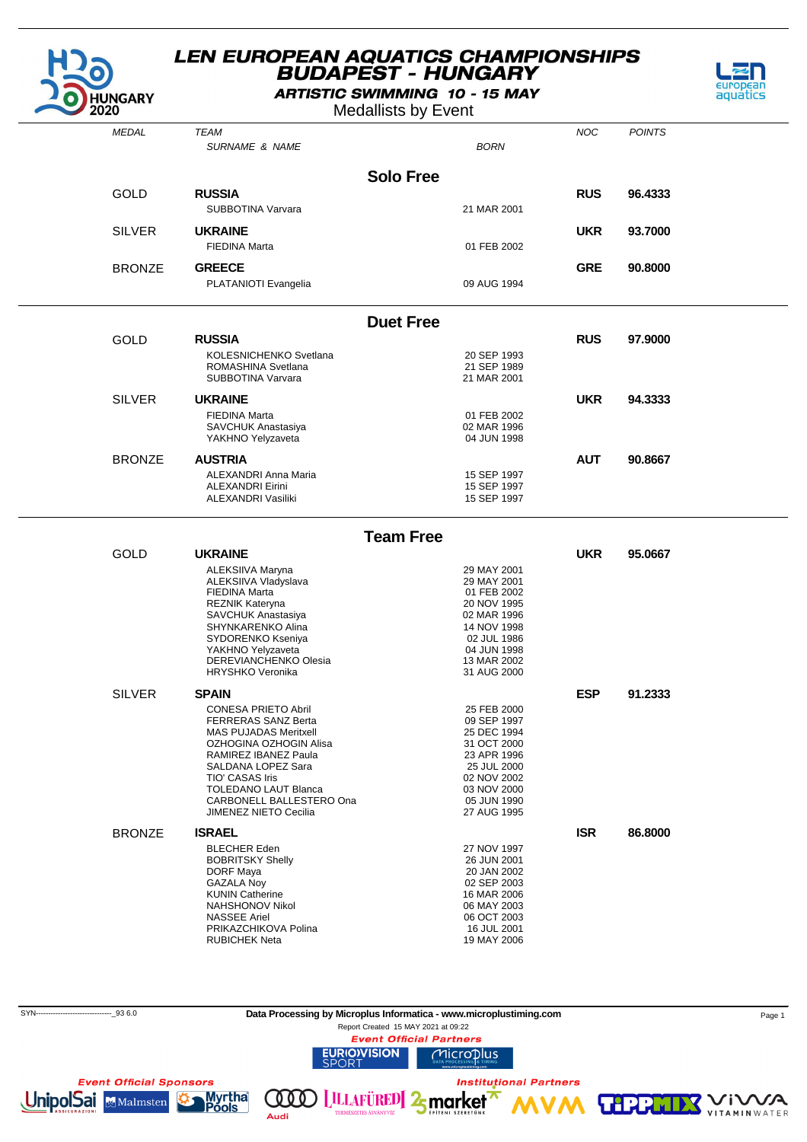

UnipolSai MMalmsten

Myrtha<br>Pools

Audi

# **LEN EUROPEAN AQUATICS CHAMPIONSHIPS<br>BUDAPEST - HUNGARY**



**ARTISTIC SWIMMING 10 - 15 MAY** Medallists by Event

| ZUZU          |                                                                                                                                                                                                                                                                  | <b>IVIEGAILISIS DY EVELIL</b>                                                                                                                      |            |               |  |
|---------------|------------------------------------------------------------------------------------------------------------------------------------------------------------------------------------------------------------------------------------------------------------------|----------------------------------------------------------------------------------------------------------------------------------------------------|------------|---------------|--|
| <b>MEDAL</b>  | <b>TEAM</b><br>SURNAME & NAME                                                                                                                                                                                                                                    | <b>BORN</b>                                                                                                                                        | <b>NOC</b> | <b>POINTS</b> |  |
|               |                                                                                                                                                                                                                                                                  | <b>Solo Free</b>                                                                                                                                   |            |               |  |
| GOLD          | <b>RUSSIA</b><br>SUBBOTINA Varvara                                                                                                                                                                                                                               | 21 MAR 2001                                                                                                                                        | <b>RUS</b> | 96.4333       |  |
| <b>SILVER</b> | <b>UKRAINE</b><br>FIEDINA Marta                                                                                                                                                                                                                                  | 01 FEB 2002                                                                                                                                        | <b>UKR</b> | 93.7000       |  |
| <b>BRONZE</b> | <b>GREECE</b><br>PLATANIOTI Evangelia                                                                                                                                                                                                                            | 09 AUG 1994                                                                                                                                        | <b>GRE</b> | 90.8000       |  |
|               |                                                                                                                                                                                                                                                                  | <b>Duet Free</b>                                                                                                                                   |            |               |  |
| GOLD          | <b>RUSSIA</b><br>KOLESNICHENKO Svetlana<br>ROMASHINA Svetlana<br>SUBBOTINA Varvara                                                                                                                                                                               | 20 SEP 1993<br>21 SEP 1989<br>21 MAR 2001                                                                                                          | <b>RUS</b> | 97.9000       |  |
| <b>SILVER</b> | <b>UKRAINE</b><br>FIEDINA Marta<br>SAVCHUK Anastasiya<br>YAKHNO Yelyzaveta                                                                                                                                                                                       | 01 FEB 2002<br>02 MAR 1996<br>04 JUN 1998                                                                                                          | <b>UKR</b> | 94.3333       |  |
| <b>BRONZE</b> | <b>AUSTRIA</b><br>ALEXANDRI Anna Maria<br><b>ALEXANDRI Eirini</b><br><b>ALEXANDRI Vasiliki</b>                                                                                                                                                                   | 15 SEP 1997<br>15 SEP 1997<br>15 SEP 1997                                                                                                          | <b>AUT</b> | 90.8667       |  |
|               |                                                                                                                                                                                                                                                                  | <b>Team Free</b>                                                                                                                                   |            |               |  |
| GOLD          | <b>UKRAINE</b>                                                                                                                                                                                                                                                   |                                                                                                                                                    | <b>UKR</b> | 95.0667       |  |
|               | ALEKSIIVA Maryna<br>ALEKSIIVA Vladyslava<br><b>FIEDINA Marta</b><br><b>REZNIK Kateryna</b><br><b>SAVCHUK Anastasiya</b><br>SHYNKARENKO Alina<br>SYDORENKO Kseniya<br>YAKHNO Yelyzaveta<br>DEREVIANCHENKO Olesia<br><b>HRYSHKO Veronika</b>                       | 29 MAY 2001<br>29 MAY 2001<br>01 FEB 2002<br>20 NOV 1995<br>02 MAR 1996<br>14 NOV 1998<br>02 JUL 1986<br>04 JUN 1998<br>13 MAR 2002<br>31 AUG 2000 |            |               |  |
| <b>SILVER</b> | <b>SPAIN</b>                                                                                                                                                                                                                                                     |                                                                                                                                                    | <b>ESP</b> | 91.2333       |  |
|               | <b>CONESA PRIETO Abril</b><br><b>FERRERAS SANZ Berta</b><br><b>MAS PUJADAS Meritxell</b><br>OZHOGINA OZHOGIN Alisa<br>RAMIREZ IBANEZ Paula<br>SALDANA LOPEZ Sara<br>TIO' CASAS Iris<br>TOLEDANO LAUT Blanca<br>CARBONELL BALLESTERO Ona<br>JIMENEZ NIETO Cecilia | 25 FEB 2000<br>09 SEP 1997<br>25 DEC 1994<br>31 OCT 2000<br>23 APR 1996<br>25 JUL 2000<br>02 NOV 2002<br>03 NOV 2000<br>05 JUN 1990<br>27 AUG 1995 |            |               |  |
| <b>BRONZE</b> | <b>ISRAEL</b><br><b>BLECHER Eden</b><br><b>BOBRITSKY Shelly</b><br>DORF Maya<br><b>GAZALA Noy</b><br><b>KUNIN Catherine</b><br>NAHSHONOV Nikol<br><b>NASSEE Ariel</b><br>PRIKAZCHIKOVA Polina<br><b>RUBICHEK Neta</b>                                            | 27 NOV 1997<br>26 JUN 2001<br>20 JAN 2002<br>02 SEP 2003<br>16 MAR 2006<br>06 MAY 2003<br>06 OCT 2003<br>16 JUL 2001<br>19 MAY 2006                | <b>ISR</b> | 86.8000       |  |



**COOD** [ILLAFÜRED] 2<sub>5</sub> market

**VM** 

TIPPMI

VIWA

VITAMINWATER

 $\mathbf Z$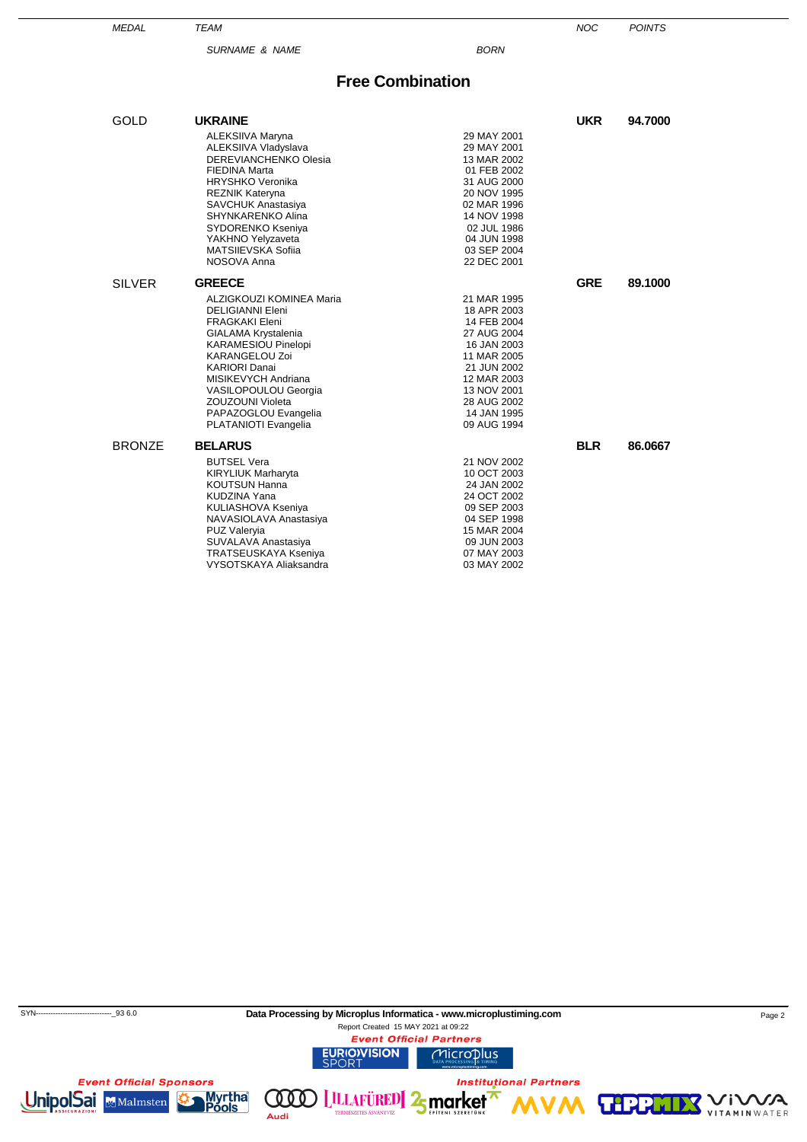SURNAME & NAME BORN

MEDAL TEAM NOC POINTS

#### **Free Combination**

| GOLD          | <b>UKRAINE</b>            |             | <b>UKR</b> | 94.7000 |
|---------------|---------------------------|-------------|------------|---------|
|               | ALEKSIIVA Maryna          | 29 MAY 2001 |            |         |
|               | ALEKSIIVA Vladyslava      | 29 MAY 2001 |            |         |
|               | DEREVIANCHENKO Olesia     | 13 MAR 2002 |            |         |
|               | <b>FIEDINA Marta</b>      | 01 FEB 2002 |            |         |
|               | <b>HRYSHKO Veronika</b>   | 31 AUG 2000 |            |         |
|               | <b>REZNIK Kateryna</b>    | 20 NOV 1995 |            |         |
|               | <b>SAVCHUK Anastasiya</b> | 02 MAR 1996 |            |         |
|               | SHYNKARENKO Alina         | 14 NOV 1998 |            |         |
|               | SYDORENKO Kseniya         | 02 JUL 1986 |            |         |
|               | YAKHNO Yelyzaveta         | 04 JUN 1998 |            |         |
|               | MATSIIEVSKA Sofiia        | 03 SEP 2004 |            |         |
|               | NOSOVA Anna               | 22 DEC 2001 |            |         |
| <b>SILVER</b> | <b>GREECE</b>             |             | <b>GRE</b> | 89.1000 |
|               | ALZIGKOUZI KOMINEA Maria  | 21 MAR 1995 |            |         |
|               | <b>DELIGIANNI Eleni</b>   | 18 APR 2003 |            |         |
|               | FRAGKAKI Eleni            | 14 FEB 2004 |            |         |
|               | GIALAMA Krystalenia       | 27 AUG 2004 |            |         |
|               | KARAMESIOU Pinelopi       | 16 JAN 2003 |            |         |
|               | <b>KARANGELOU Zoi</b>     | 11 MAR 2005 |            |         |
|               | <b>KARIORI Danai</b>      | 21 JUN 2002 |            |         |
|               | MISIKEVYCH Andriana       | 12 MAR 2003 |            |         |
|               | VASILOPOULOU Georgia      | 13 NOV 2001 |            |         |
|               | ZOUZOUNI Violeta          | 28 AUG 2002 |            |         |
|               | PAPAZOGLOU Evangelia      | 14 JAN 1995 |            |         |
|               | PLATANIOTI Evangelia      | 09 AUG 1994 |            |         |
| <b>BRONZE</b> | <b>BELARUS</b>            |             | <b>BLR</b> | 86.0667 |
|               | <b>BUTSEL Vera</b>        | 21 NOV 2002 |            |         |
|               | KIRYLIUK Marharyta        | 10 OCT 2003 |            |         |
|               | <b>KOUTSUN Hanna</b>      | 24 JAN 2002 |            |         |
|               | <b>KUDZINA Yana</b>       | 24 OCT 2002 |            |         |
|               | KULIASHOVA Kseniya        | 09 SEP 2003 |            |         |
|               | NAVASIOLAVA Anastasiya    | 04 SEP 1998 |            |         |
|               | <b>PUZ Valeryia</b>       | 15 MAR 2004 |            |         |
|               | SUVALAVA Anastasiya       | 09 JUN 2003 |            |         |
|               | TRATSEUSKAYA Kseniya      | 07 MAY 2003 |            |         |
|               | VYSOTSKAYA Aliaksandra    | 03 MAY 2002 |            |         |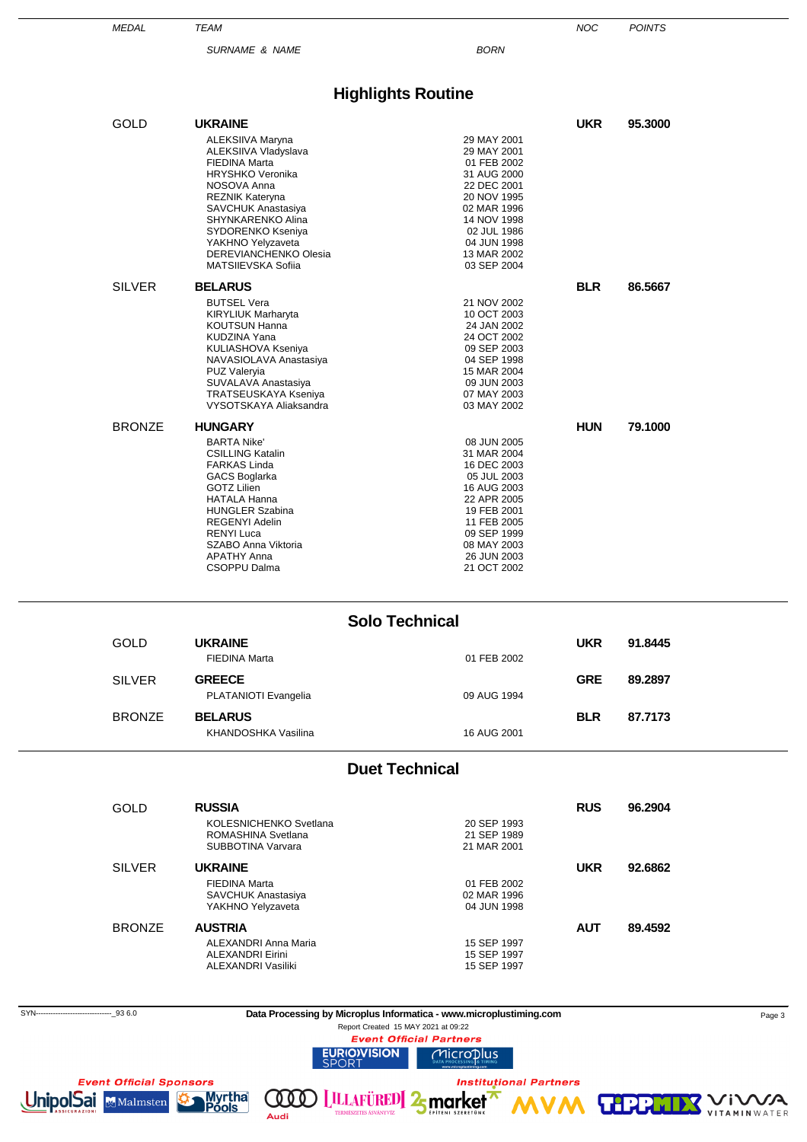| <b>MEDAL</b>  | TEAM                                                                                                                                                                                                                                                                     |                                                                                                                                                                                  | <b>NOC</b> | <b>POINTS</b> |
|---------------|--------------------------------------------------------------------------------------------------------------------------------------------------------------------------------------------------------------------------------------------------------------------------|----------------------------------------------------------------------------------------------------------------------------------------------------------------------------------|------------|---------------|
|               | <b>SURNAME &amp; NAME</b>                                                                                                                                                                                                                                                | <b>BORN</b>                                                                                                                                                                      |            |               |
|               |                                                                                                                                                                                                                                                                          |                                                                                                                                                                                  |            |               |
|               |                                                                                                                                                                                                                                                                          | <b>Highlights Routine</b>                                                                                                                                                        |            |               |
| GOLD          | <b>UKRAINE</b>                                                                                                                                                                                                                                                           |                                                                                                                                                                                  | <b>UKR</b> | 95,3000       |
|               | <b>ALEKSIIVA Maryna</b><br>ALEKSIIVA Vladyslava<br><b>FIEDINA Marta</b><br><b>HRYSHKO Veronika</b><br>NOSOVA Anna<br>REZNIK Kateryna<br>SAVCHUK Anastasiya<br>SHYNKARENKO Alina<br>SYDORENKO Kseniya<br>YAKHNO Yelyzaveta<br>DEREVIANCHENKO Olesia<br>MATSIIEVSKA Sofiia | 29 MAY 2001<br>29 MAY 2001<br>01 FEB 2002<br>31 AUG 2000<br>22 DEC 2001<br>20 NOV 1995<br>02 MAR 1996<br>14 NOV 1998<br>02 JUL 1986<br>04 JUN 1998<br>13 MAR 2002<br>03 SEP 2004 |            |               |
| SILVER        | <b>BELARUS</b>                                                                                                                                                                                                                                                           |                                                                                                                                                                                  | <b>BLR</b> | 86.5667       |
|               | <b>BUTSEL Vera</b><br>KIRYLIUK Marharyta<br><b>KOUTSUN Hanna</b><br>KUDZINA Yana<br>KULIASHOVA Kseniya<br>NAVASIOLAVA Anastasiya<br><b>PUZ Valervia</b><br>SUVALAVA Anastasiya<br>TRATSEUSKAYA Kseniya<br>VYSOTSKAYA Aliaksandra                                         | 21 NOV 2002<br>10 OCT 2003<br>24 JAN 2002<br>24 OCT 2002<br>09 SEP 2003<br>04 SEP 1998<br>15 MAR 2004<br>09 JUN 2003<br>07 MAY 2003<br>03 MAY 2002                               |            |               |
| <b>BRONZE</b> | <b>HUNGARY</b>                                                                                                                                                                                                                                                           |                                                                                                                                                                                  | <b>HUN</b> | 79.1000       |
|               | <b>BARTA Nike'</b><br><b>CSILLING Katalin</b><br>FARKAS Linda<br>GACS Boglarka<br><b>GOTZ Lilien</b><br><b>HATALA Hanna</b><br><b>HUNGLER Szabina</b><br><b>REGENYI Adelin</b><br><b>RENYI Luca</b><br>SZABO Anna Viktoria<br><b>APATHY Anna</b><br><b>CSOPPU Dalma</b>  | 08 JUN 2005<br>31 MAR 2004<br>16 DEC 2003<br>05 JUL 2003<br>16 AUG 2003<br>22 APR 2005<br>19 FEB 2001<br>11 FEB 2005<br>09 SEP 1999<br>08 MAY 2003<br>26 JUN 2003<br>21 OCT 2002 |            |               |
|               |                                                                                                                                                                                                                                                                          | <b>Solo Technical</b>                                                                                                                                                            |            |               |
| GOLD          | <b>UKRAINE</b><br><b>FIEDINA Marta</b>                                                                                                                                                                                                                                   | 01 FEB 2002                                                                                                                                                                      | <b>UKR</b> | 91.8445       |
| <b>SILVER</b> | <b>GREECE</b>                                                                                                                                                                                                                                                            |                                                                                                                                                                                  | <b>GRE</b> | 89.2897       |
|               | PLATANIOTI Evangelia                                                                                                                                                                                                                                                     | 09 AUG 1994                                                                                                                                                                      |            |               |
| <b>BRONZE</b> | <b>BELARUS</b><br>KHANDOSHKA Vasilina                                                                                                                                                                                                                                    | 16 AUG 2001                                                                                                                                                                      | <b>BLR</b> | 87.7173       |
|               |                                                                                                                                                                                                                                                                          | <b>Duet Technical</b>                                                                                                                                                            |            |               |

| GOLD          | <b>RUSSIA</b>                 |             | <b>RUS</b> | 96.2904 |
|---------------|-------------------------------|-------------|------------|---------|
|               | <b>KOLESNICHENKO Svetlana</b> | 20 SEP 1993 |            |         |
|               | ROMASHINA Svetlana            | 21 SEP 1989 |            |         |
|               | SUBBOTINA Varvara             | 21 MAR 2001 |            |         |
| <b>SILVER</b> | <b>UKRAINE</b>                |             | <b>UKR</b> | 92.6862 |
|               | <b>FIEDINA Marta</b>          | 01 FEB 2002 |            |         |
|               | <b>SAVCHUK Anastasiya</b>     | 02 MAR 1996 |            |         |
|               | YAKHNO Yelyzaveta             | 04 JUN 1998 |            |         |
| <b>BRONZE</b> | <b>AUSTRIA</b>                |             | <b>AUT</b> | 89.4592 |
|               | ALEXANDRI Anna Maria          | 15 SEP 1997 |            |         |
|               | ALEXANDRI Eirini              | 15 SEP 1997 |            |         |
|               | ALEXANDRI Vasiliki            | 15 SEP 1997 |            |         |
|               |                               |             |            |         |

SYN-------------------------------\_93 6.0 **Data Processing by Microplus Informatica - www.microplustiming.com** Page 3

Report Created 15 MAY 2021 at 09:22<br>**Event Official Partners** 

**COOP LILLAFÜREDI 25 market** MVM

 $\underset{\text{data ProcessING} \text{ as runs}}{\text{Microsoft}}$ 

**MVM** 

**TIPPMI** 

**VIWWATER** 

 $\mathbf Z$ 

**EURIO)VISION** 

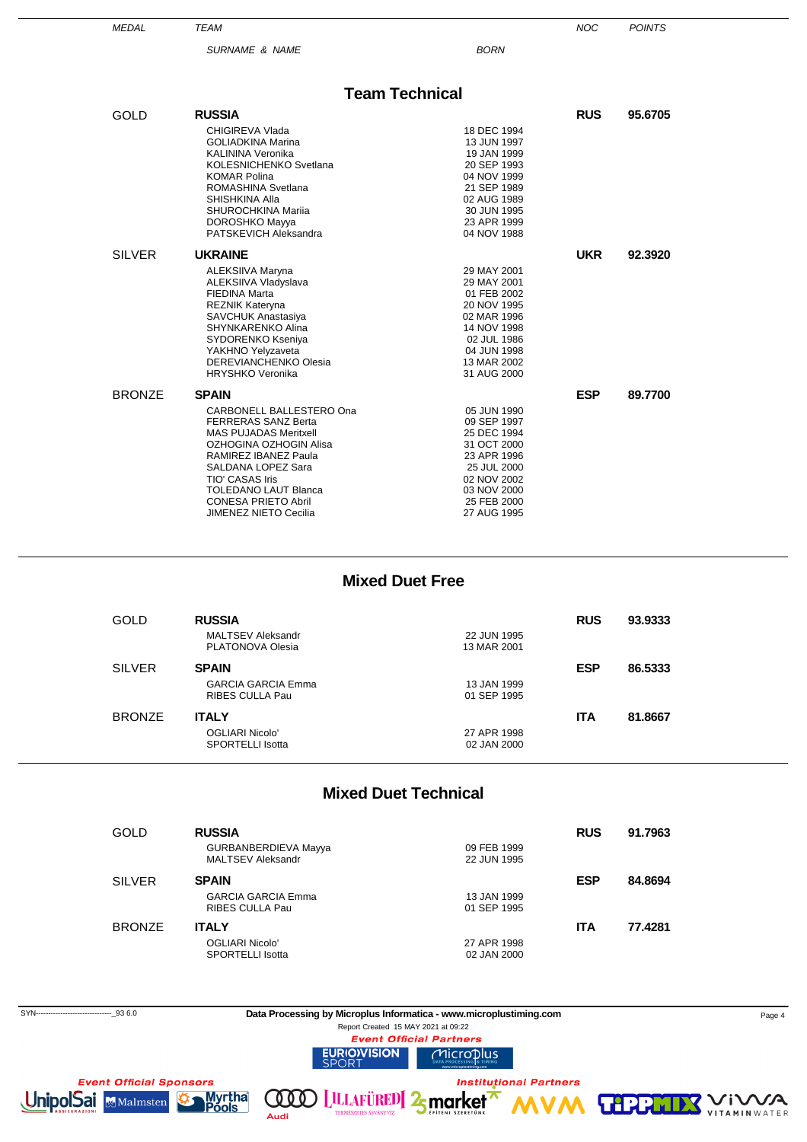| <b>MEDAL</b>  | TEAM                          |             | <b>NOC</b> | <b>POINTS</b> |  |
|---------------|-------------------------------|-------------|------------|---------------|--|
|               | <b>SURNAME &amp; NAME</b>     | <b>BORN</b> |            |               |  |
|               |                               |             |            |               |  |
|               | <b>Team Technical</b>         |             |            |               |  |
|               |                               |             |            |               |  |
| GOLD          | <b>RUSSIA</b>                 |             | <b>RUS</b> | 95.6705       |  |
|               | CHIGIREVA Vlada               | 18 DEC 1994 |            |               |  |
|               | <b>GOLIADKINA Marina</b>      | 13 JUN 1997 |            |               |  |
|               | <b>KALININA Veronika</b>      | 19 JAN 1999 |            |               |  |
|               | <b>KOLESNICHENKO Svetlana</b> | 20 SEP 1993 |            |               |  |
|               | <b>KOMAR Polina</b>           | 04 NOV 1999 |            |               |  |
|               | ROMASHINA Svetlana            | 21 SEP 1989 |            |               |  |
|               | SHISHKINA Alla                | 02 AUG 1989 |            |               |  |
|               | SHUROCHKINA Mariia            | 30 JUN 1995 |            |               |  |
|               | DOROSHKO Mayya                | 23 APR 1999 |            |               |  |
|               | PATSKEVICH Aleksandra         | 04 NOV 1988 |            |               |  |
| <b>SILVER</b> | <b>UKRAINE</b>                |             | <b>UKR</b> | 92.3920       |  |
|               | ALEKSIIVA Maryna              | 29 MAY 2001 |            |               |  |
|               | ALEKSIIVA Vladyslava          | 29 MAY 2001 |            |               |  |
|               | <b>FIEDINA Marta</b>          | 01 FEB 2002 |            |               |  |
|               | <b>REZNIK Kateryna</b>        | 20 NOV 1995 |            |               |  |
|               | <b>SAVCHUK Anastasiya</b>     | 02 MAR 1996 |            |               |  |
|               | SHYNKARENKO Alina             | 14 NOV 1998 |            |               |  |
|               | SYDORENKO Kseniya             | 02 JUL 1986 |            |               |  |
|               | YAKHNO Yelyzaveta             | 04 JUN 1998 |            |               |  |
|               | DEREVIANCHENKO Olesia         | 13 MAR 2002 |            |               |  |
|               | <b>HRYSHKO Veronika</b>       | 31 AUG 2000 |            |               |  |
| <b>BRONZE</b> | <b>SPAIN</b>                  |             | <b>ESP</b> | 89.7700       |  |
|               | CARBONELL BALLESTERO Ona      | 05 JUN 1990 |            |               |  |
|               | <b>FERRERAS SANZ Berta</b>    | 09 SEP 1997 |            |               |  |
|               | <b>MAS PUJADAS Meritxell</b>  | 25 DEC 1994 |            |               |  |
|               | OZHOGINA OZHOGIN Alisa        | 31 OCT 2000 |            |               |  |
|               | RAMIREZ IBANEZ Paula          | 23 APR 1996 |            |               |  |
|               | SALDANA LOPEZ Sara            | 25 JUL 2000 |            |               |  |
|               | <b>TIO' CASAS Iris</b>        | 02 NOV 2002 |            |               |  |
|               | <b>TOLEDANO LAUT Blanca</b>   | 03 NOV 2000 |            |               |  |
|               | <b>CONESA PRIETO Abril</b>    | 25 FEB 2000 |            |               |  |
|               | JIMENEZ NIETO Cecilia         | 27 AUG 1995 |            |               |  |
|               |                               |             |            |               |  |

#### **Mixed Duet Free**

| GOLD          | <b>RUSSIA</b>                                |                            | <b>RUS</b> | 93.9333 |
|---------------|----------------------------------------------|----------------------------|------------|---------|
|               | <b>MALTSEV Aleksandr</b><br>PLATONOVA Olesia | 22 JUN 1995<br>13 MAR 2001 |            |         |
| <b>SILVER</b> | <b>SPAIN</b>                                 |                            | <b>ESP</b> | 86.5333 |
|               | <b>GARCIA GARCIA Emma</b><br>RIBES CULLA Pau | 13 JAN 1999<br>01 SEP 1995 |            |         |
| <b>BRONZE</b> | <b>ITALY</b>                                 |                            | <b>ITA</b> | 81.8667 |
|               | OGLIARI Nicolo'<br><b>SPORTELLI Isotta</b>   | 27 APR 1998<br>02 JAN 2000 |            |         |

#### **Mixed Duet Technical**

| <b>GOLD</b>   | <b>RUSSIA</b>                                    |                            | <b>RUS</b> | 91.7963 |
|---------------|--------------------------------------------------|----------------------------|------------|---------|
|               | GURBANBERDIEVA Mayya<br><b>MALTSEV Aleksandr</b> | 09 FEB 1999<br>22 JUN 1995 |            |         |
| <b>SILVER</b> | <b>SPAIN</b>                                     |                            | <b>ESP</b> | 84.8694 |
|               | <b>GARCIA GARCIA Emma</b><br>RIBES CULLA Pau     | 13 JAN 1999<br>01 SEP 1995 |            |         |
| <b>BRONZE</b> | <b>ITALY</b>                                     |                            | <b>ITA</b> | 77.4281 |
|               | <b>OGLIARI Nicolo'</b><br>SPORTELLI Isotta       | 27 APR 1998<br>02 JAN 2000 |            |         |

SYN-------------------------------\_93 6.0 **Data Processing by Microplus Informatica - www.microplustiming.com** Page 4

Report Created 15 MAY 2021 at 09:22<br>**Event Official Partners** 

**Institutional Partners** 

**VM** 

 $\text{MicrosoftS}$ 

**EURIOVISION** 

Audi

**COOD [ILLAFÜRED] 25 market** 



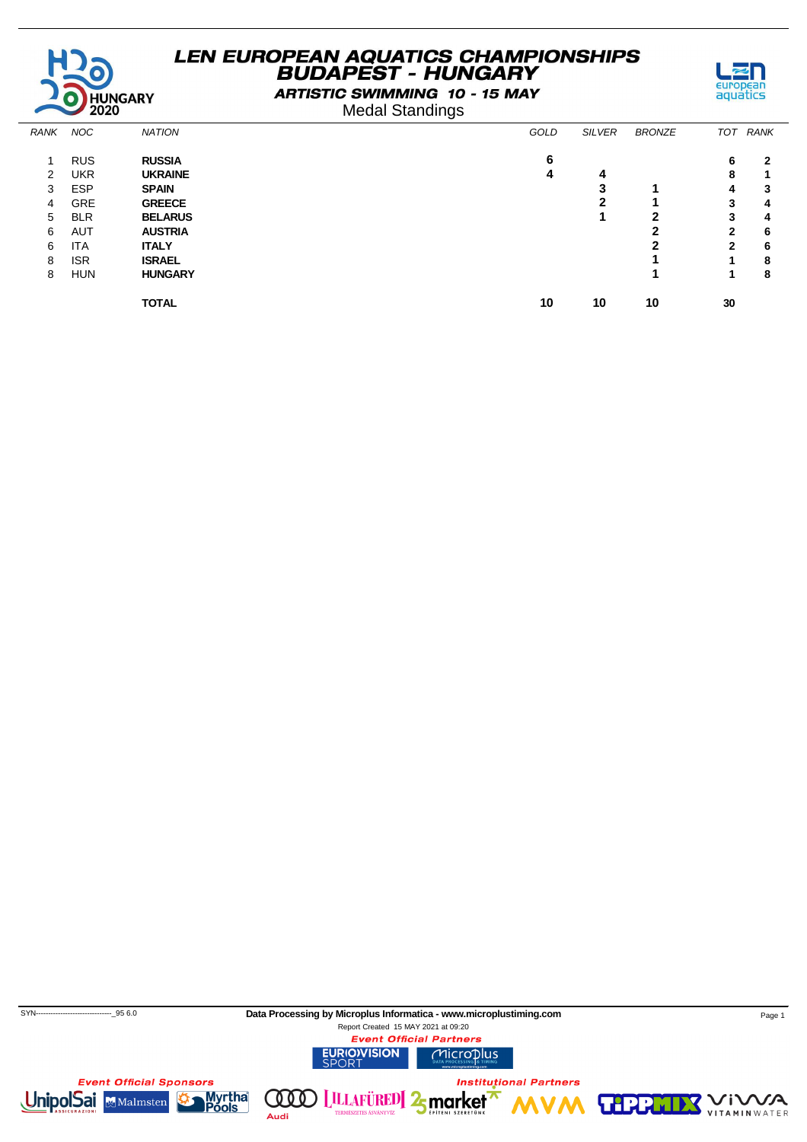

**ARTISTIC SWIMMING 10 - 15 MAY** Medal Standings



| <b>RANK</b> | <b>NOC</b> | <b>NATION</b>  | GOLD | <b>SILVER</b> | <b>BRONZE</b> | TOT          | RANK |
|-------------|------------|----------------|------|---------------|---------------|--------------|------|
|             | <b>RUS</b> | <b>RUSSIA</b>  | 6    |               |               | 6            | 2    |
| 2           | <b>UKR</b> | <b>UKRAINE</b> | 4    | 4             |               | 8            | ٠    |
| 3           | <b>ESP</b> | <b>SPAIN</b>   |      | 3             |               | 4            | 3    |
| 4           | <b>GRE</b> | <b>GREECE</b>  |      |               |               | 3            | 4    |
| 5           | <b>BLR</b> | <b>BELARUS</b> |      |               |               | 3            | 4    |
| 6           | AUT        | <b>AUSTRIA</b> |      |               |               | $\mathbf{2}$ | 6    |
| 6           | <b>ITA</b> | <b>ITALY</b>   |      |               |               | $\mathbf{2}$ | 6    |
| 8           | <b>ISR</b> | <b>ISRAEL</b>  |      |               |               | ٠            | 8    |
| 8           | <b>HUN</b> | <b>HUNGARY</b> |      |               |               |              | 8    |
|             |            | <b>TOTAL</b>   | 10   | 10            | 10            | 30           |      |